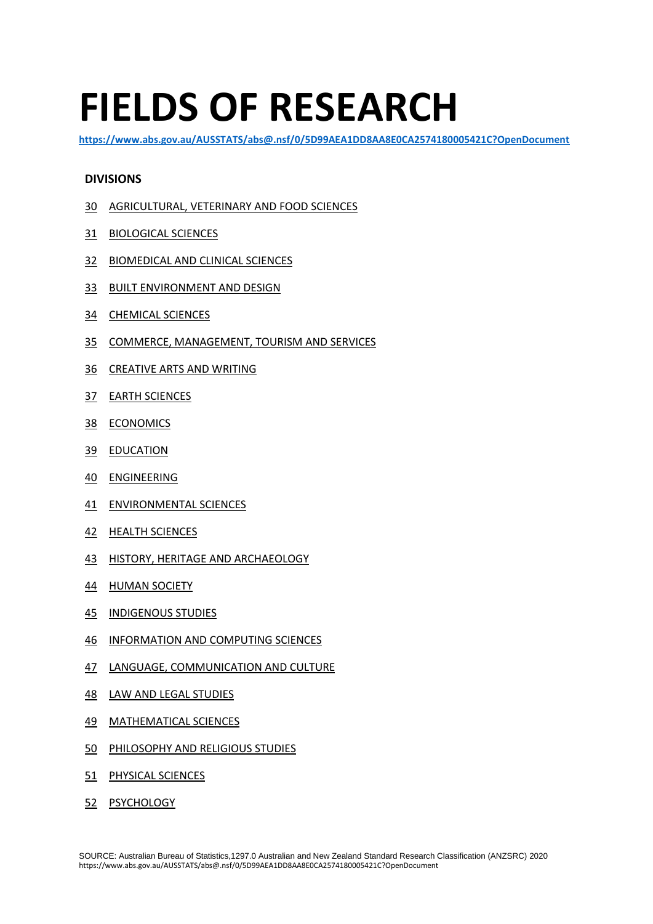# **FIELDS OF RESEARCH**

**<https://www.abs.gov.au/AUSSTATS/abs@.nsf/0/5D99AEA1DD8AA8E0CA2574180005421C?OpenDocument>**

## **DIVISIONS**

- AGRICULTURAL, VETERINARY AND FOOD SCIENCES
- BIOLOGICAL SCIENCES
- BIOMEDICAL AND CLINICAL SCIENCES
- BUILT ENVIRONMENT AND DESIGN
- CHEMICAL SCIENCES
- COMMERCE, MANAGEMENT, TOURISM AND SERVICES
- CREATIVE ARTS AND WRITING
- EARTH SCIENCES
- ECONOMICS
- EDUCATION
- ENGINEERING
- ENVIRONMENTAL SCIENCES
- HEALTH SCIENCES
- HISTORY, HERITAGE AND ARCHAEOLOGY
- HUMAN SOCIETY
- INDIGENOUS STUDIES
- INFORMATION AND COMPUTING SCIENCES
- LANGUAGE, COMMUNICATION AND CULTURE
- LAW AND LEGAL STUDIES
- MATHEMATICAL SCIENCES
- PHILOSOPHY AND RELIGIOUS STUDIES
- PHYSICAL SCIENCES
- PSYCHOLOGY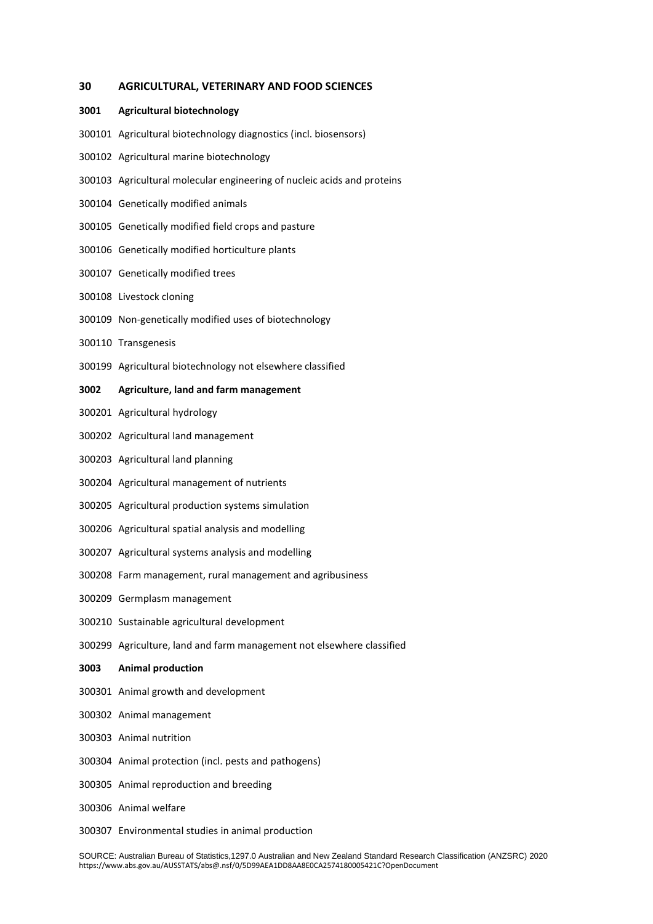#### **AGRICULTURAL, VETERINARY AND FOOD SCIENCES**

#### **Agricultural biotechnology**

- Agricultural biotechnology diagnostics (incl. biosensors)
- Agricultural marine biotechnology
- Agricultural molecular engineering of nucleic acids and proteins
- Genetically modified animals
- Genetically modified field crops and pasture
- Genetically modified horticulture plants
- Genetically modified trees
- Livestock cloning
- Non-genetically modified uses of biotechnology
- Transgenesis
- Agricultural biotechnology not elsewhere classified

## **Agriculture, land and farm management**

- Agricultural hydrology
- Agricultural land management
- Agricultural land planning
- Agricultural management of nutrients
- Agricultural production systems simulation
- Agricultural spatial analysis and modelling
- Agricultural systems analysis and modelling
- Farm management, rural management and agribusiness
- Germplasm management
- Sustainable agricultural development
- Agriculture, land and farm management not elsewhere classified

## **Animal production**

- Animal growth and development
- Animal management
- Animal nutrition
- Animal protection (incl. pests and pathogens)
- Animal reproduction and breeding
- Animal welfare
- Environmental studies in animal production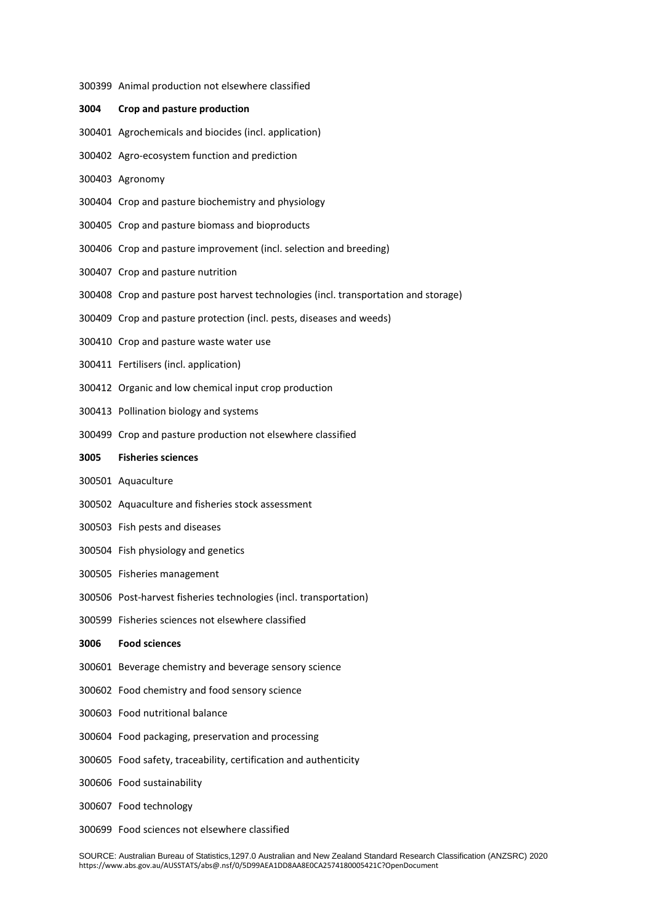| 3004 | Crop and pasture production                                                          |
|------|--------------------------------------------------------------------------------------|
|      | 300401 Agrochemicals and biocides (incl. application)                                |
|      | 300402 Agro-ecosystem function and prediction                                        |
|      | 300403 Agronomy                                                                      |
|      | 300404 Crop and pasture biochemistry and physiology                                  |
|      | 300405 Crop and pasture biomass and bioproducts                                      |
|      | 300406 Crop and pasture improvement (incl. selection and breeding)                   |
|      | 300407 Crop and pasture nutrition                                                    |
|      | 300408 Crop and pasture post harvest technologies (incl. transportation and storage) |
|      | 300409 Crop and pasture protection (incl. pests, diseases and weeds)                 |
|      | 300410 Crop and pasture waste water use                                              |
|      | 300411 Fertilisers (incl. application)                                               |
|      | 300412 Organic and low chemical input crop production                                |
|      | 300413 Pollination biology and systems                                               |
|      | 300499 Crop and pasture production not elsewhere classified                          |
|      | 3005 Fisheries sciences                                                              |
|      | 300501 Aquaculture                                                                   |
|      | 300502 Aquaculture and fisheries stock assessment                                    |
|      | 300503 Fish pests and diseases                                                       |
|      | 300504 Fish physiology and genetics                                                  |
|      | 300505 Fisheries management                                                          |
|      | 300506 Post-harvest fisheries technologies (incl. transportation)                    |
|      | 300599 Fisheries sciences not elsewhere classified                                   |
| 3006 | <b>Food sciences</b>                                                                 |
|      | 300601 Beverage chemistry and beverage sensory science                               |
|      | 300602 Food chemistry and food sensory science                                       |
|      | 300603 Food nutritional balance                                                      |
|      | 300604 Food packaging, preservation and processing                                   |
|      | 300605 Food safety, traceability, certification and authenticity                     |
|      | 300606 Food sustainability                                                           |
|      | 300607 Food technology                                                               |
|      | 300699 Food sciences not elsewhere classified                                        |

Animal production not elsewhere classified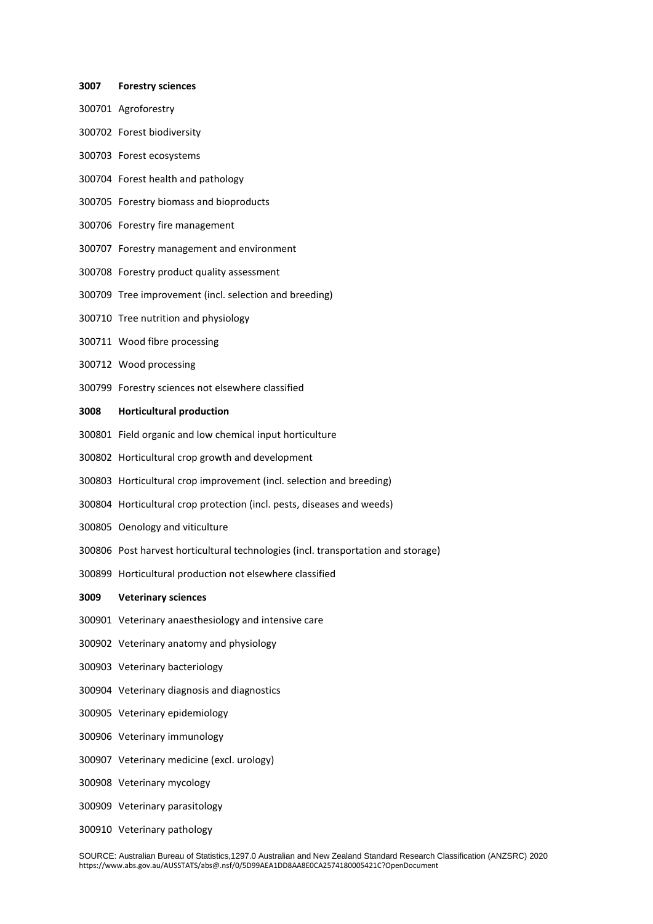## Agroforestry Forest biodiversity Forest ecosystems Forest health and pathology Forestry biomass and bioproducts

**Forestry sciences**

- Forestry fire management
- Forestry management and environment
- Forestry product quality assessment
- Tree improvement (incl. selection and breeding)
- Tree nutrition and physiology
- Wood fibre processing
- Wood processing
- Forestry sciences not elsewhere classified

## **Horticultural production**

- Field organic and low chemical input horticulture
- Horticultural crop growth and development
- Horticultural crop improvement (incl. selection and breeding)
- Horticultural crop protection (incl. pests, diseases and weeds)
- Oenology and viticulture
- Post harvest horticultural technologies (incl. transportation and storage)
- Horticultural production not elsewhere classified

#### **Veterinary sciences**

- Veterinary anaesthesiology and intensive care
- Veterinary anatomy and physiology
- Veterinary bacteriology
- Veterinary diagnosis and diagnostics
- Veterinary epidemiology
- Veterinary immunology
- Veterinary medicine (excl. urology)
- Veterinary mycology
- Veterinary parasitology
- Veterinary pathology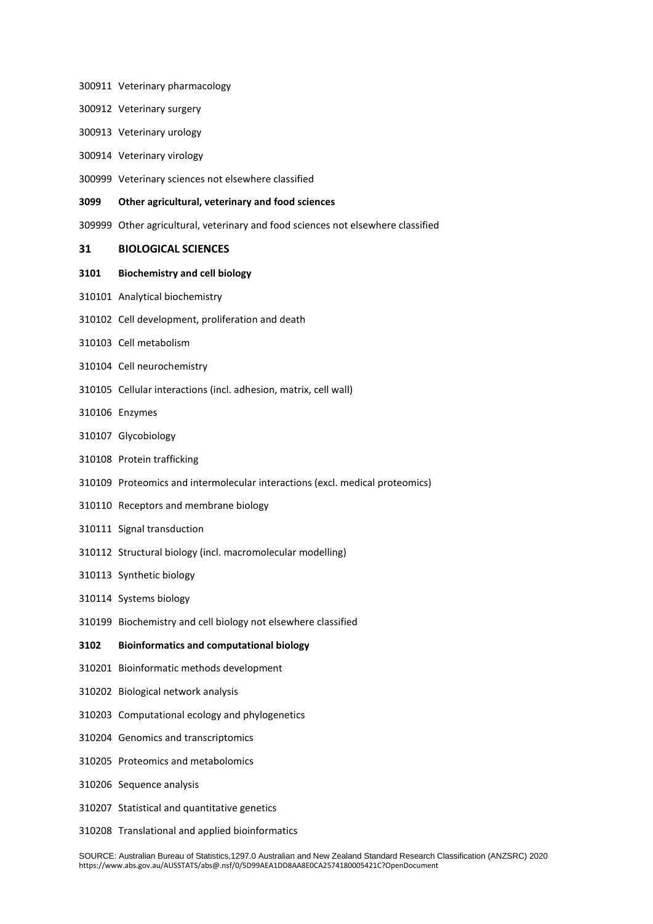- Veterinary pharmacology
- Veterinary surgery
- Veterinary urology
- Veterinary virology
- Veterinary sciences not elsewhere classified

#### **Other agricultural, veterinary and food sciences**

Other agricultural, veterinary and food sciences not elsewhere classified

## **BIOLOGICAL SCIENCES**

## **Biochemistry and cell biology**

- Analytical biochemistry
- Cell development, proliferation and death
- Cell metabolism
- Cell neurochemistry
- Cellular interactions (incl. adhesion, matrix, cell wall)
- Enzymes
- Glycobiology
- Protein trafficking
- Proteomics and intermolecular interactions (excl. medical proteomics)
- Receptors and membrane biology
- Signal transduction
- Structural biology (incl. macromolecular modelling)
- Synthetic biology
- Systems biology
- Biochemistry and cell biology not elsewhere classified

## **Bioinformatics and computational biology**

- Bioinformatic methods development
- Biological network analysis
- Computational ecology and phylogenetics
- Genomics and transcriptomics
- Proteomics and metabolomics
- Sequence analysis
- Statistical and quantitative genetics
- Translational and applied bioinformatics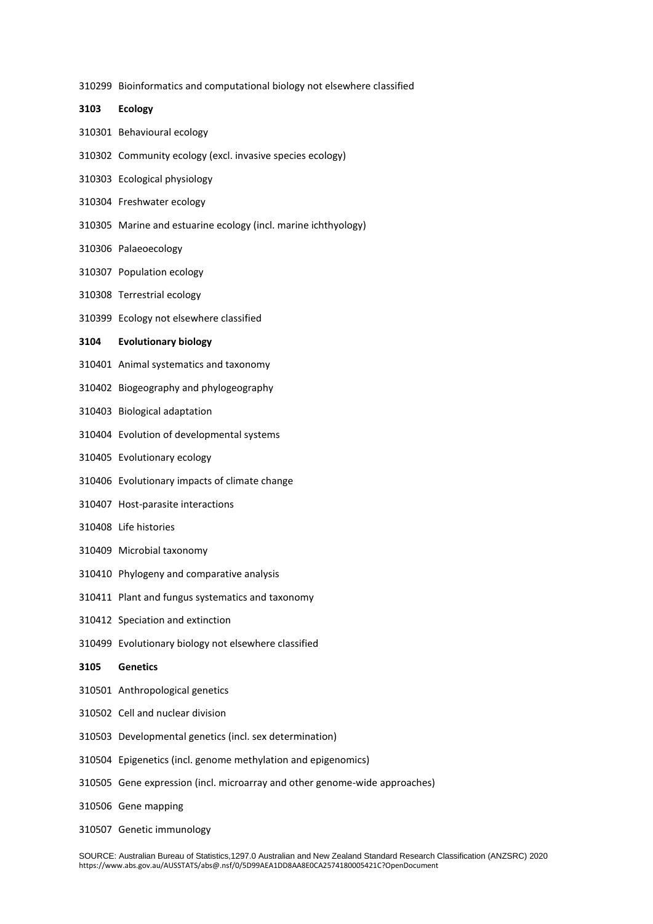Bioinformatics and computational biology not elsewhere classified

 **Ecology** Behavioural ecology Community ecology (excl. invasive species ecology) Ecological physiology Freshwater ecology Marine and estuarine ecology (incl. marine ichthyology) Palaeoecology Population ecology Terrestrial ecology Ecology not elsewhere classified **Evolutionary biology** Animal systematics and taxonomy Biogeography and phylogeography Biological adaptation Evolution of developmental systems Evolutionary ecology Evolutionary impacts of climate change Host-parasite interactions Life histories Microbial taxonomy Phylogeny and comparative analysis Plant and fungus systematics and taxonomy Speciation and extinction Evolutionary biology not elsewhere classified **Genetics** Anthropological genetics Cell and nuclear division Developmental genetics (incl. sex determination) Epigenetics (incl. genome methylation and epigenomics) Gene expression (incl. microarray and other genome-wide approaches) Gene mapping Genetic immunology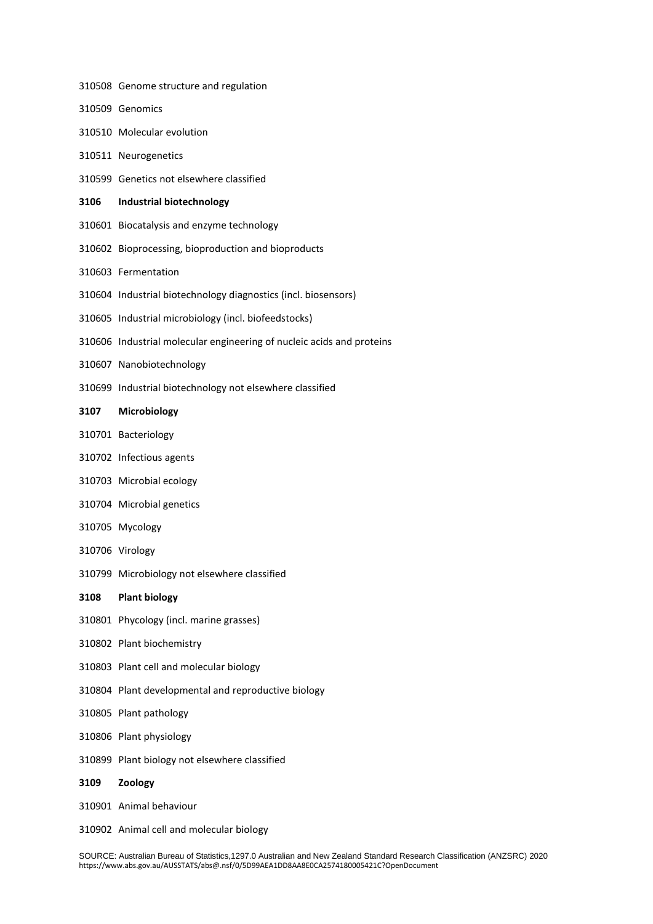- Genome structure and regulation
- Genomics
- Molecular evolution
- Neurogenetics
- Genetics not elsewhere classified
- **Industrial biotechnology**
- Biocatalysis and enzyme technology
- Bioprocessing, bioproduction and bioproducts
- Fermentation
- Industrial biotechnology diagnostics (incl. biosensors)
- Industrial microbiology (incl. biofeedstocks)
- Industrial molecular engineering of nucleic acids and proteins
- Nanobiotechnology
- Industrial biotechnology not elsewhere classified

## **Microbiology**

- Bacteriology
- Infectious agents
- Microbial ecology
- Microbial genetics
- Mycology
- Virology
- Microbiology not elsewhere classified
- **Plant biology**
- Phycology (incl. marine grasses)
- Plant biochemistry
- Plant cell and molecular biology
- Plant developmental and reproductive biology
- Plant pathology
- Plant physiology
- Plant biology not elsewhere classified
- **Zoology**
- Animal behaviour
- Animal cell and molecular biology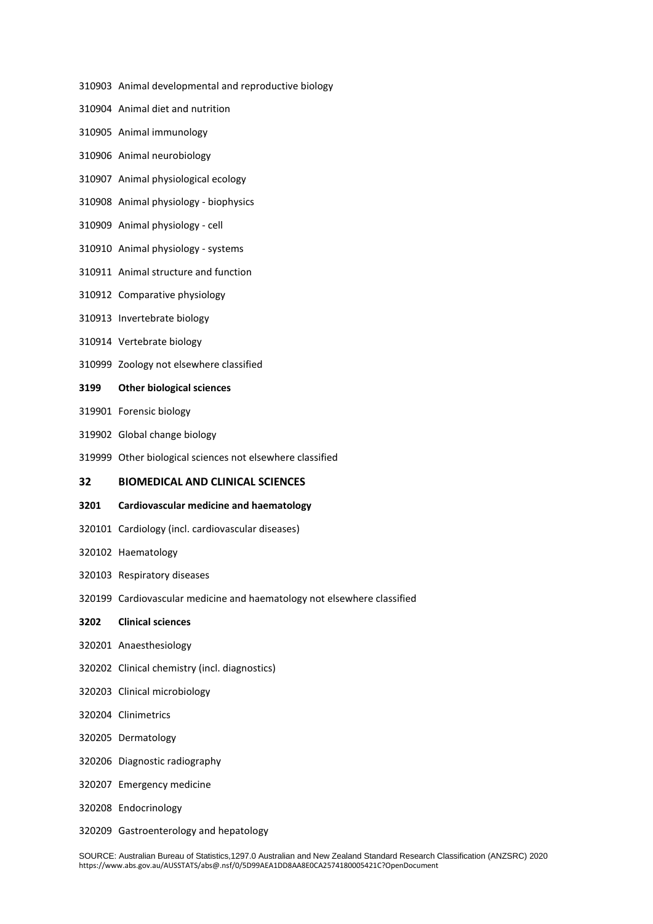- Animal developmental and reproductive biology
- Animal diet and nutrition
- Animal immunology
- Animal neurobiology
- Animal physiological ecology
- Animal physiology biophysics
- Animal physiology cell
- Animal physiology systems
- Animal structure and function
- Comparative physiology
- Invertebrate biology
- Vertebrate biology
- Zoology not elsewhere classified
- **Other biological sciences**
- Forensic biology
- Global change biology
- Other biological sciences not elsewhere classified

## **BIOMEDICAL AND CLINICAL SCIENCES**

#### **Cardiovascular medicine and haematology**

- Cardiology (incl. cardiovascular diseases)
- Haematology
- Respiratory diseases
- Cardiovascular medicine and haematology not elsewhere classified
- **Clinical sciences**
- Anaesthesiology
- Clinical chemistry (incl. diagnostics)
- Clinical microbiology
- Clinimetrics
- Dermatology
- Diagnostic radiography
- Emergency medicine
- Endocrinology
- Gastroenterology and hepatology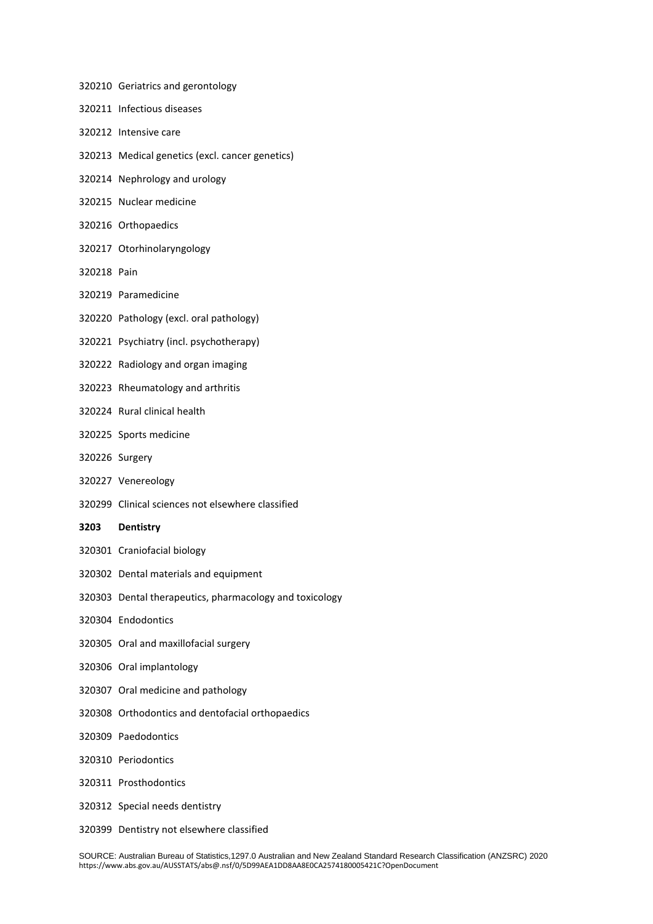- Geriatrics and gerontology
- Infectious diseases
- Intensive care
- Medical genetics (excl. cancer genetics)
- Nephrology and urology
- Nuclear medicine
- Orthopaedics
- Otorhinolaryngology
- Pain
- Paramedicine
- Pathology (excl. oral pathology)
- Psychiatry (incl. psychotherapy)
- Radiology and organ imaging
- Rheumatology and arthritis
- Rural clinical health
- Sports medicine
- Surgery
- Venereology
- Clinical sciences not elsewhere classified
- **Dentistry**
- Craniofacial biology
- Dental materials and equipment
- Dental therapeutics, pharmacology and toxicology
- Endodontics
- Oral and maxillofacial surgery
- Oral implantology
- Oral medicine and pathology
- Orthodontics and dentofacial orthopaedics
- Paedodontics
- Periodontics
- Prosthodontics
- Special needs dentistry
- Dentistry not elsewhere classified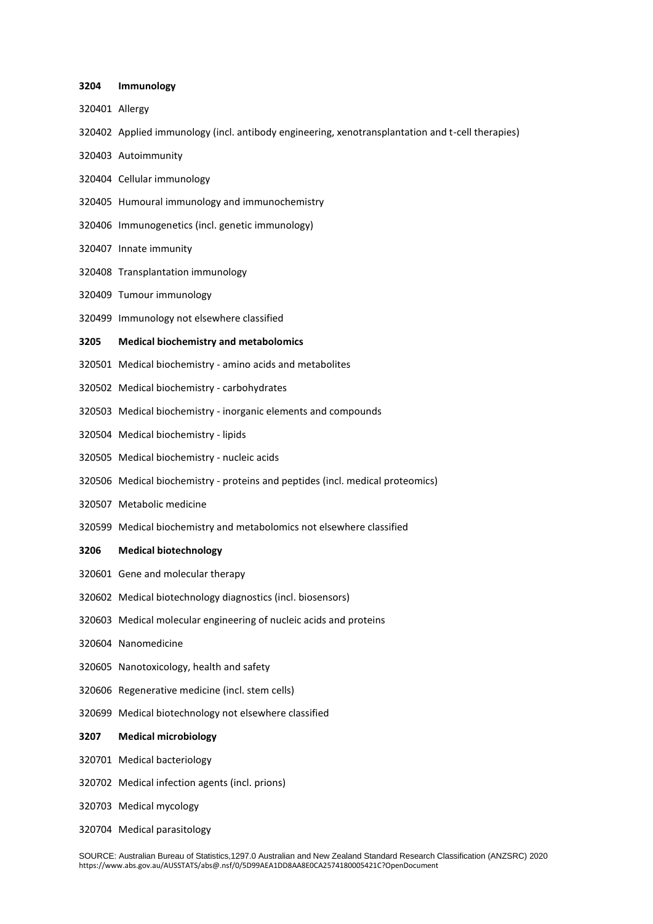#### **Immunology**

- Allergy
- Applied immunology (incl. antibody engineering, xenotransplantation and t-cell therapies)
- Autoimmunity
- Cellular immunology
- Humoural immunology and immunochemistry
- Immunogenetics (incl. genetic immunology)
- Innate immunity
- Transplantation immunology
- Tumour immunology
- Immunology not elsewhere classified

#### **Medical biochemistry and metabolomics**

- Medical biochemistry amino acids and metabolites
- Medical biochemistry carbohydrates
- Medical biochemistry inorganic elements and compounds
- Medical biochemistry lipids
- Medical biochemistry nucleic acids
- Medical biochemistry proteins and peptides (incl. medical proteomics)
- Metabolic medicine
- Medical biochemistry and metabolomics not elsewhere classified

#### **Medical biotechnology**

- Gene and molecular therapy
- Medical biotechnology diagnostics (incl. biosensors)
- Medical molecular engineering of nucleic acids and proteins
- Nanomedicine
- Nanotoxicology, health and safety
- Regenerative medicine (incl. stem cells)
- Medical biotechnology not elsewhere classified

## **Medical microbiology**

- Medical bacteriology
- Medical infection agents (incl. prions)
- Medical mycology
- Medical parasitology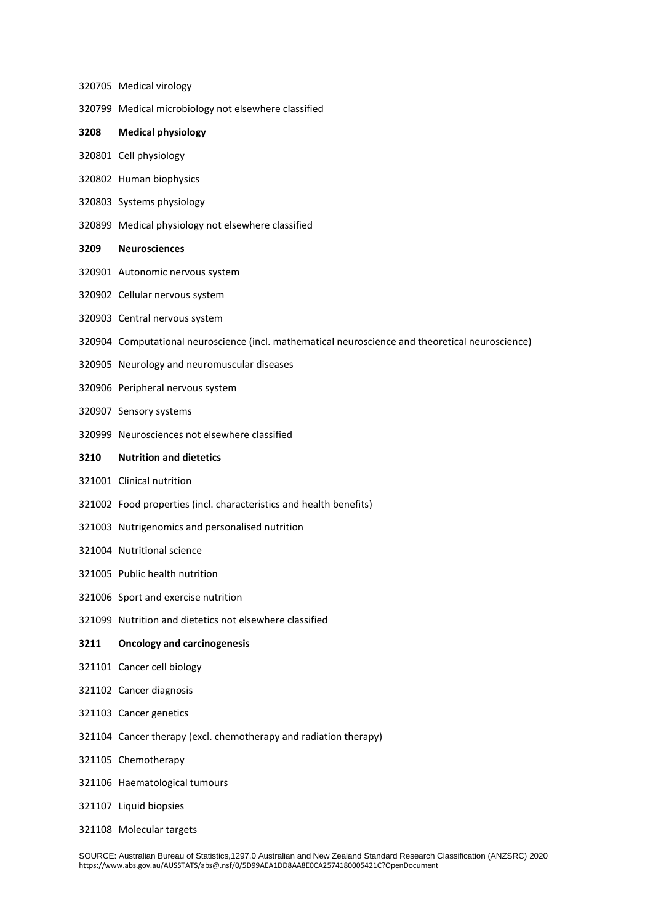- Medical virology
- Medical microbiology not elsewhere classified
- **Medical physiology**
- Cell physiology
- Human biophysics
- Systems physiology
- Medical physiology not elsewhere classified
- **Neurosciences**
- Autonomic nervous system
- Cellular nervous system
- Central nervous system
- Computational neuroscience (incl. mathematical neuroscience and theoretical neuroscience)
- Neurology and neuromuscular diseases
- Peripheral nervous system
- Sensory systems
- Neurosciences not elsewhere classified

#### **Nutrition and dietetics**

- Clinical nutrition
- Food properties (incl. characteristics and health benefits)
- Nutrigenomics and personalised nutrition
- Nutritional science
- Public health nutrition
- Sport and exercise nutrition
- Nutrition and dietetics not elsewhere classified

## **Oncology and carcinogenesis**

- Cancer cell biology
- Cancer diagnosis
- Cancer genetics
- Cancer therapy (excl. chemotherapy and radiation therapy)
- Chemotherapy
- Haematological tumours
- Liquid biopsies
- Molecular targets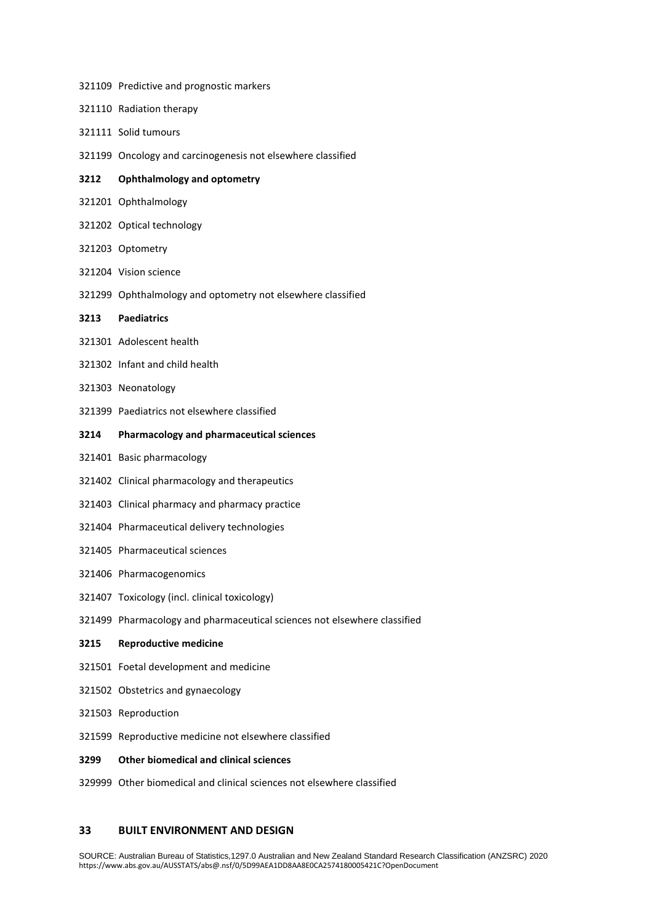- Predictive and prognostic markers
- Radiation therapy
- Solid tumours
- Oncology and carcinogenesis not elsewhere classified

## **Ophthalmology and optometry**

- Ophthalmology
- Optical technology
- Optometry
- Vision science
- Ophthalmology and optometry not elsewhere classified

## **Paediatrics**

- Adolescent health
- Infant and child health
- Neonatology
- Paediatrics not elsewhere classified

#### **Pharmacology and pharmaceutical sciences**

- Basic pharmacology
- Clinical pharmacology and therapeutics
- Clinical pharmacy and pharmacy practice
- Pharmaceutical delivery technologies
- Pharmaceutical sciences
- Pharmacogenomics
- Toxicology (incl. clinical toxicology)
- Pharmacology and pharmaceutical sciences not elsewhere classified

## **Reproductive medicine**

- Foetal development and medicine
- Obstetrics and gynaecology
- Reproduction
- Reproductive medicine not elsewhere classified

#### **Other biomedical and clinical sciences**

Other biomedical and clinical sciences not elsewhere classified

## **BUILT ENVIRONMENT AND DESIGN**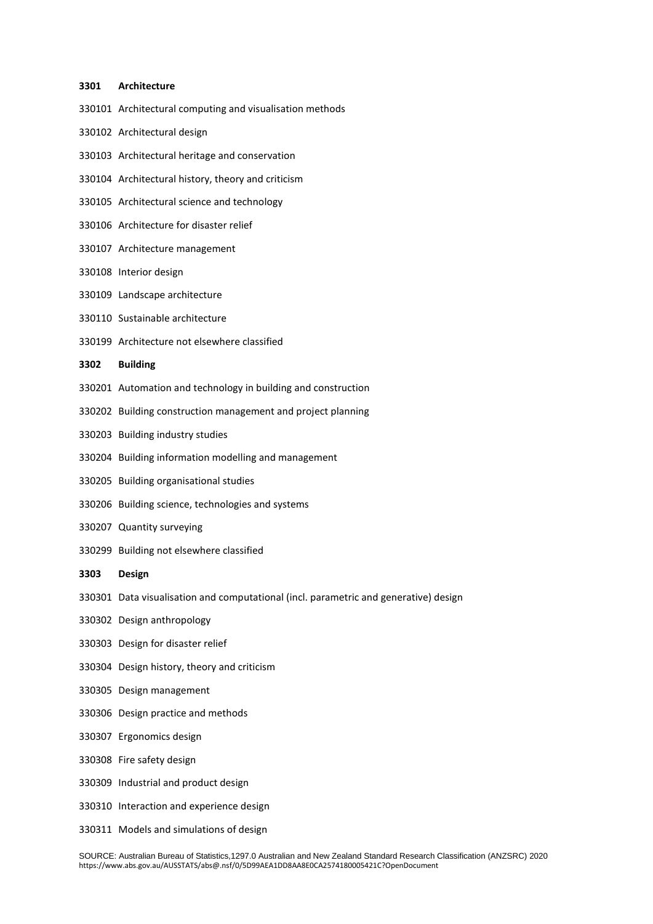#### **Architecture**

- Architectural computing and visualisation methods
- Architectural design
- Architectural heritage and conservation
- Architectural history, theory and criticism
- Architectural science and technology
- Architecture for disaster relief
- Architecture management
- Interior design
- Landscape architecture
- Sustainable architecture
- Architecture not elsewhere classified

## **Building**

- Automation and technology in building and construction
- Building construction management and project planning
- Building industry studies
- Building information modelling and management
- Building organisational studies
- Building science, technologies and systems
- Quantity surveying
- Building not elsewhere classified
- **Design**
- Data visualisation and computational (incl. parametric and generative) design
- Design anthropology
- Design for disaster relief
- Design history, theory and criticism
- Design management
- Design practice and methods
- Ergonomics design
- Fire safety design
- Industrial and product design
- Interaction and experience design
- Models and simulations of design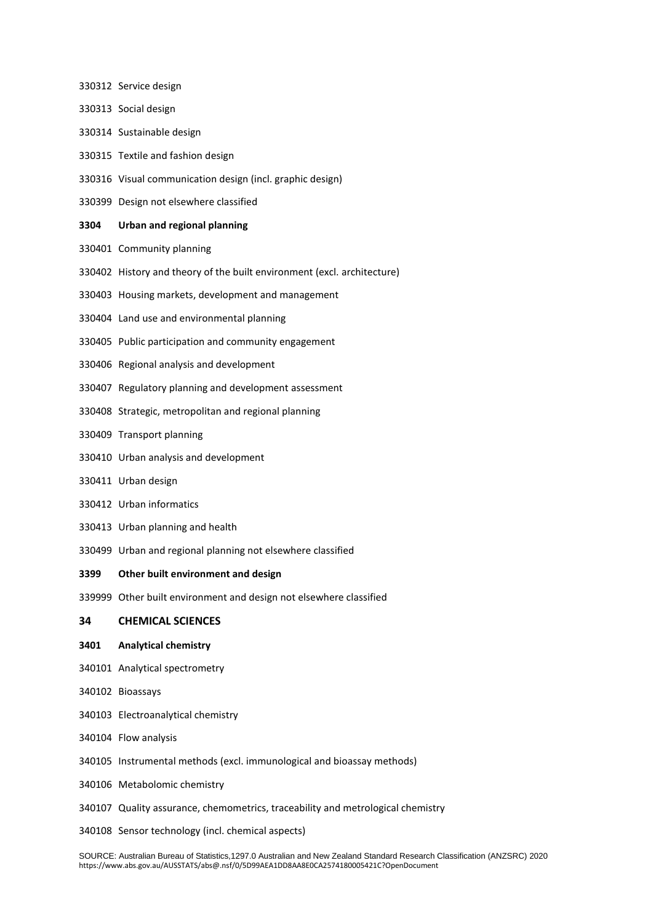- Service design
- Social design
- Sustainable design
- Textile and fashion design
- Visual communication design (incl. graphic design)
- Design not elsewhere classified

## **Urban and regional planning**

- Community planning
- History and theory of the built environment (excl. architecture)
- Housing markets, development and management
- Land use and environmental planning
- Public participation and community engagement
- Regional analysis and development
- Regulatory planning and development assessment
- Strategic, metropolitan and regional planning
- Transport planning
- Urban analysis and development
- Urban design
- Urban informatics
- Urban planning and health
- Urban and regional planning not elsewhere classified

## **Other built environment and design**

Other built environment and design not elsewhere classified

## **CHEMICAL SCIENCES**

## **Analytical chemistry**

- Analytical spectrometry
- Bioassays
- Electroanalytical chemistry
- Flow analysis
- Instrumental methods (excl. immunological and bioassay methods)
- Metabolomic chemistry
- Quality assurance, chemometrics, traceability and metrological chemistry
- Sensor technology (incl. chemical aspects)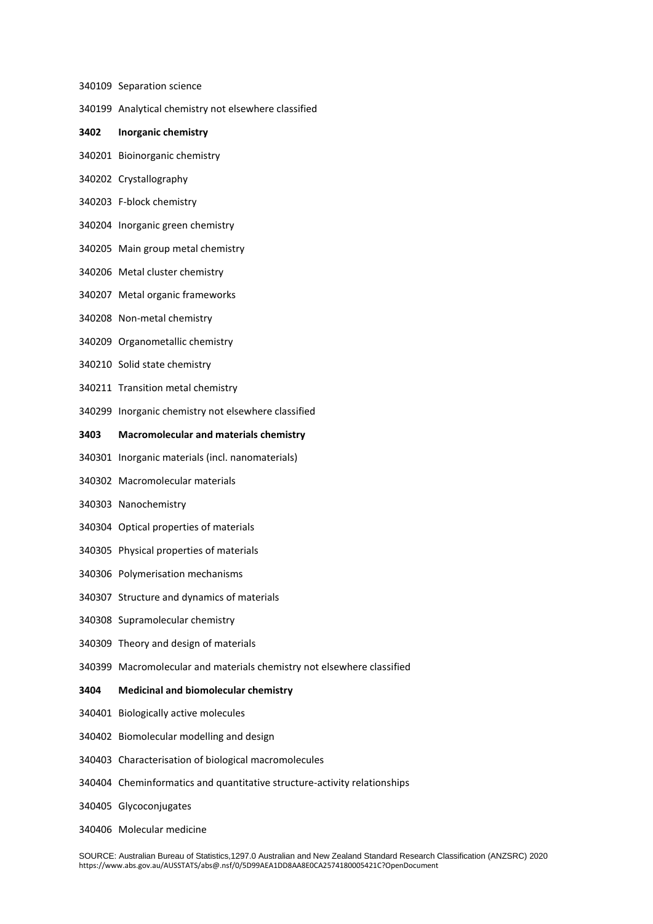- Separation science
- Analytical chemistry not elsewhere classified
- **Inorganic chemistry**
- Bioinorganic chemistry
- Crystallography
- F-block chemistry
- Inorganic green chemistry
- Main group metal chemistry
- Metal cluster chemistry
- Metal organic frameworks
- Non-metal chemistry
- Organometallic chemistry
- Solid state chemistry
- Transition metal chemistry
- Inorganic chemistry not elsewhere classified
- **Macromolecular and materials chemistry**
- Inorganic materials (incl. nanomaterials)
- Macromolecular materials
- Nanochemistry
- Optical properties of materials
- Physical properties of materials
- Polymerisation mechanisms
- Structure and dynamics of materials
- Supramolecular chemistry
- Theory and design of materials
- Macromolecular and materials chemistry not elsewhere classified
- **Medicinal and biomolecular chemistry**
- Biologically active molecules
- Biomolecular modelling and design
- Characterisation of biological macromolecules
- Cheminformatics and quantitative structure-activity relationships
- Glycoconjugates
- Molecular medicine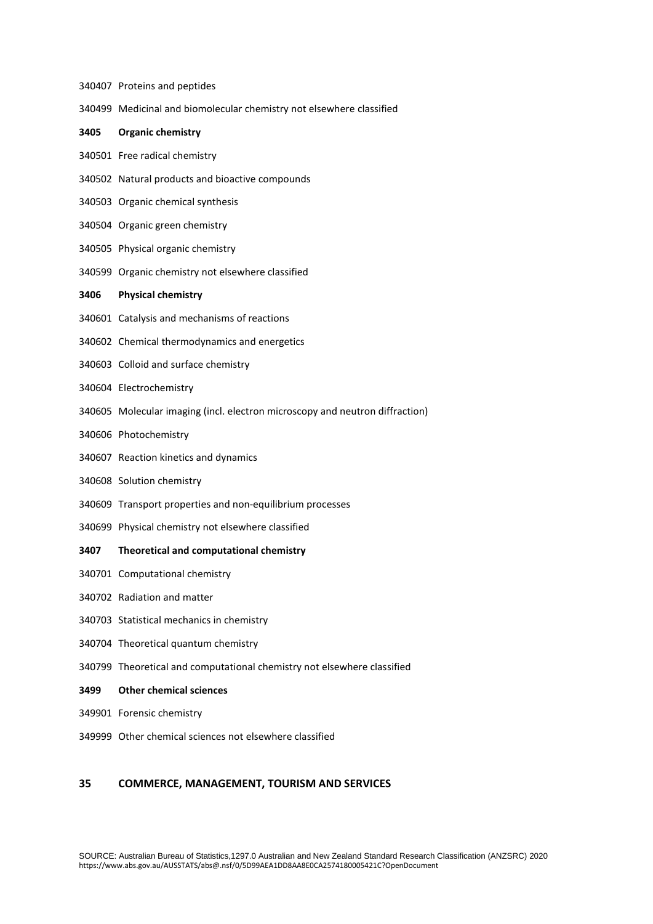Proteins and peptides Medicinal and biomolecular chemistry not elsewhere classified **Organic chemistry** Free radical chemistry Natural products and bioactive compounds Organic chemical synthesis Organic green chemistry Physical organic chemistry Organic chemistry not elsewhere classified **Physical chemistry** Catalysis and mechanisms of reactions Chemical thermodynamics and energetics Colloid and surface chemistry Electrochemistry Molecular imaging (incl. electron microscopy and neutron diffraction) Photochemistry Reaction kinetics and dynamics Solution chemistry Transport properties and non-equilibrium processes Physical chemistry not elsewhere classified **Theoretical and computational chemistry** Computational chemistry Radiation and matter Statistical mechanics in chemistry Theoretical quantum chemistry Theoretical and computational chemistry not elsewhere classified **Other chemical sciences** Forensic chemistry Other chemical sciences not elsewhere classified

## **COMMERCE, MANAGEMENT, TOURISM AND SERVICES**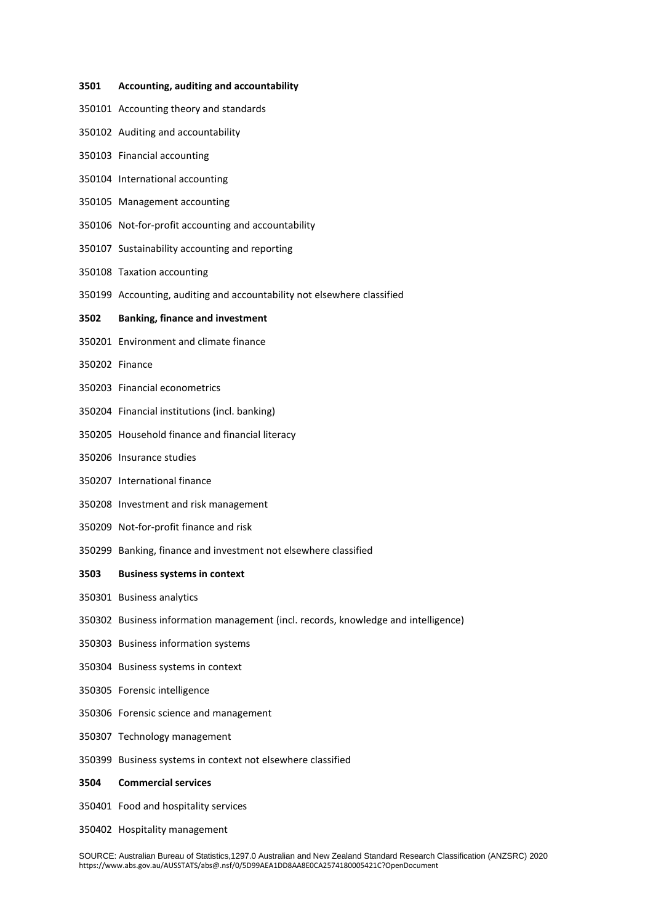#### **Accounting, auditing and accountability**

- Accounting theory and standards
- Auditing and accountability
- Financial accounting
- International accounting
- Management accounting
- Not-for-profit accounting and accountability
- Sustainability accounting and reporting
- Taxation accounting
- Accounting, auditing and accountability not elsewhere classified

## **Banking, finance and investment**

- Environment and climate finance
- Finance
- Financial econometrics
- Financial institutions (incl. banking)
- Household finance and financial literacy
- Insurance studies
- International finance
- Investment and risk management
- Not-for-profit finance and risk
- Banking, finance and investment not elsewhere classified
- **Business systems in context**
- Business analytics
- Business information management (incl. records, knowledge and intelligence)
- Business information systems
- Business systems in context
- Forensic intelligence
- Forensic science and management
- Technology management
- Business systems in context not elsewhere classified
- **Commercial services**
- Food and hospitality services
- Hospitality management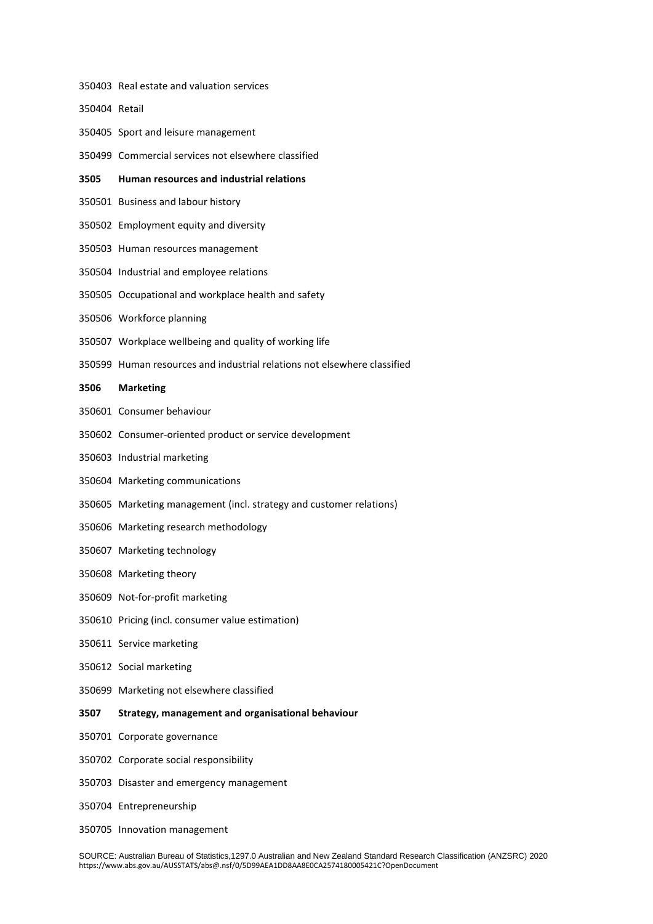Retail Sport and leisure management Commercial services not elsewhere classified **Human resources and industrial relations** Business and labour history Employment equity and diversity Human resources management Industrial and employee relations Occupational and workplace health and safety Workforce planning Workplace wellbeing and quality of working life Human resources and industrial relations not elsewhere classified **Marketing** Consumer behaviour Consumer-oriented product or service development Industrial marketing Marketing communications Marketing management (incl. strategy and customer relations) Marketing research methodology Marketing technology Marketing theory Not-for-profit marketing Pricing (incl. consumer value estimation) Service marketing Social marketing Marketing not elsewhere classified **Strategy, management and organisational behaviour** Corporate governance Corporate social responsibility Disaster and emergency management Entrepreneurship

Real estate and valuation services

Innovation management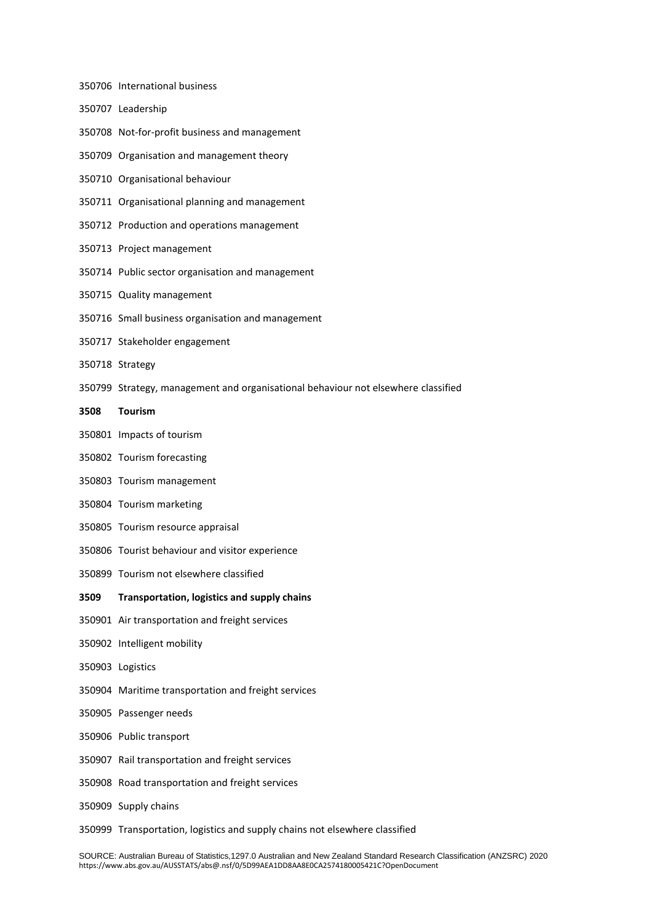- International business
- Leadership
- Not-for-profit business and management
- Organisation and management theory
- Organisational behaviour
- Organisational planning and management
- Production and operations management
- Project management
- Public sector organisation and management
- Quality management
- Small business organisation and management
- Stakeholder engagement
- Strategy
- Strategy, management and organisational behaviour not elsewhere classified
- **Tourism**
- Impacts of tourism
- Tourism forecasting
- Tourism management
- Tourism marketing
- Tourism resource appraisal
- Tourist behaviour and visitor experience
- Tourism not elsewhere classified
- **Transportation, logistics and supply chains**
- Air transportation and freight services
- Intelligent mobility
- Logistics
- Maritime transportation and freight services
- Passenger needs
- Public transport
- Rail transportation and freight services
- Road transportation and freight services
- Supply chains
- Transportation, logistics and supply chains not elsewhere classified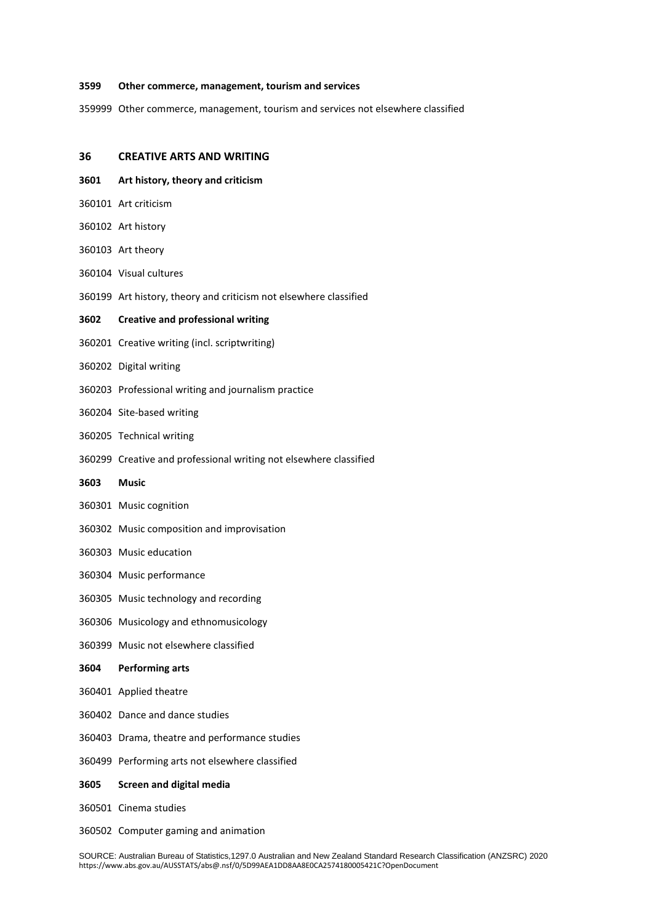#### **Other commerce, management, tourism and services**

Other commerce, management, tourism and services not elsewhere classified

#### **CREATIVE ARTS AND WRITING**

- **Art history, theory and criticism**
- Art criticism
- Art history
- Art theory
- Visual cultures
- Art history, theory and criticism not elsewhere classified

#### **Creative and professional writing**

- Creative writing (incl. scriptwriting)
- Digital writing
- Professional writing and journalism practice
- Site-based writing
- Technical writing
- Creative and professional writing not elsewhere classified

#### **Music**

- Music cognition
- Music composition and improvisation
- Music education
- Music performance
- Music technology and recording
- Musicology and ethnomusicology
- Music not elsewhere classified

## **Performing arts**

- Applied theatre
- Dance and dance studies
- Drama, theatre and performance studies
- Performing arts not elsewhere classified
- **Screen and digital media**
- Cinema studies
- Computer gaming and animation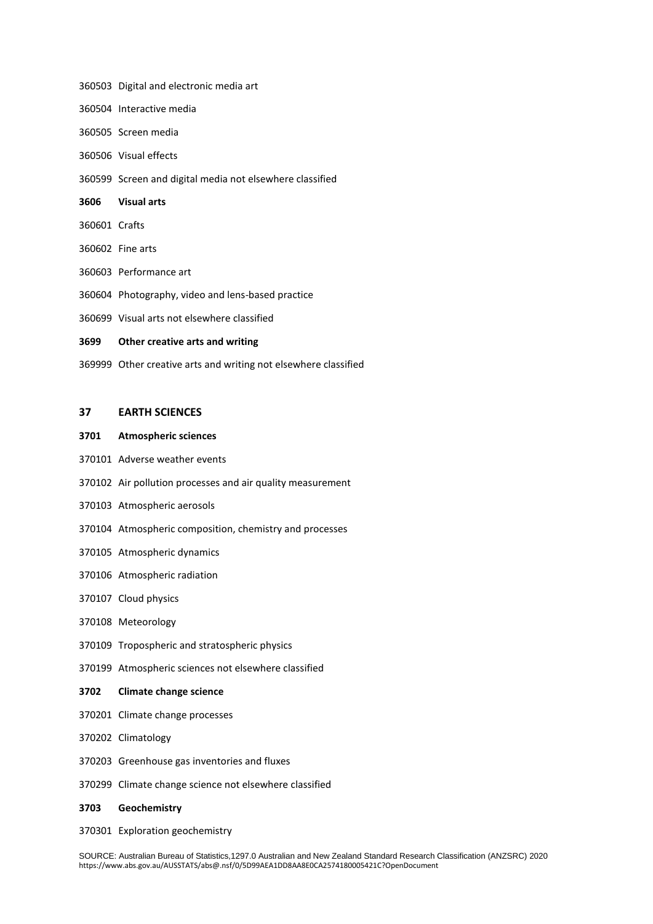- Digital and electronic media art
- Interactive media
- Screen media
- Visual effects
- Screen and digital media not elsewhere classified
- **Visual arts**
- Crafts
- Fine arts
- Performance art
- Photography, video and lens-based practice
- Visual arts not elsewhere classified

#### **Other creative arts and writing**

Other creative arts and writing not elsewhere classified

## **EARTH SCIENCES**

#### **Atmospheric sciences**

- Adverse weather events
- Air pollution processes and air quality measurement
- Atmospheric aerosols
- Atmospheric composition, chemistry and processes
- Atmospheric dynamics
- Atmospheric radiation
- Cloud physics
- Meteorology
- Tropospheric and stratospheric physics
- Atmospheric sciences not elsewhere classified

## **Climate change science**

- Climate change processes
- Climatology
- Greenhouse gas inventories and fluxes
- Climate change science not elsewhere classified
- **Geochemistry**
- Exploration geochemistry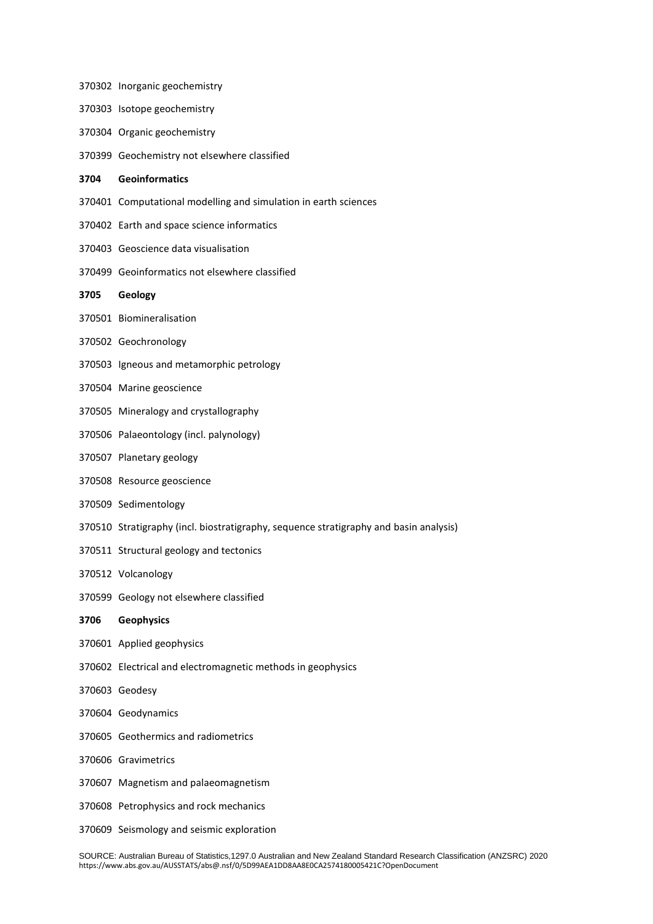|      | 370303 Isotope geochemistry                                                           |
|------|---------------------------------------------------------------------------------------|
|      | 370304 Organic geochemistry                                                           |
|      | 370399 Geochemistry not elsewhere classified                                          |
| 3704 | Geoinformatics                                                                        |
|      | 370401 Computational modelling and simulation in earth sciences                       |
|      | 370402 Earth and space science informatics                                            |
|      | 370403 Geoscience data visualisation                                                  |
|      | 370499 Geoinformatics not elsewhere classified                                        |
| 3705 | Geology                                                                               |
|      | 370501 Biomineralisation                                                              |
|      | 370502 Geochronology                                                                  |
|      | 370503 Igneous and metamorphic petrology                                              |
|      | 370504 Marine geoscience                                                              |
|      | 370505 Mineralogy and crystallography                                                 |
|      | 370506 Palaeontology (incl. palynology)                                               |
|      | 370507 Planetary geology                                                              |
|      | 370508 Resource geoscience                                                            |
|      | 370509 Sedimentology                                                                  |
|      | 370510 Stratigraphy (incl. biostratigraphy, sequence stratigraphy and basin analysis) |
|      | 370511 Structural geology and tectonics                                               |
|      | 370512 Volcanology                                                                    |
|      | 370599 Geology not elsewhere classified                                               |
| 3706 | <b>Geophysics</b>                                                                     |
|      | 370601 Applied geophysics                                                             |
|      | 370602 Electrical and electromagnetic methods in geophysics                           |
|      | 370603 Geodesy                                                                        |
|      | 370604 Geodynamics                                                                    |
|      | 370605 Geothermics and radiometrics                                                   |
|      | 370606 Gravimetrics                                                                   |
|      | 370607 Magnetism and palaeomagnetism                                                  |
|      | 370608 Petrophysics and rock mechanics                                                |
|      | 370609 Seismology and seismic exploration                                             |

Inorganic geochemistry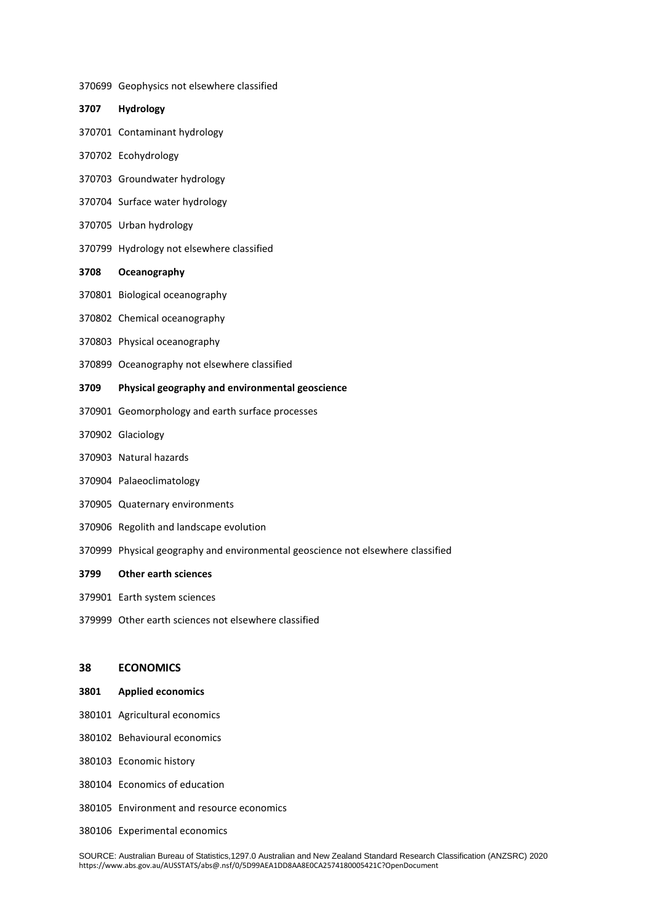- Geophysics not elsewhere classified
- **Hydrology**
- Contaminant hydrology
- Ecohydrology
- Groundwater hydrology
- Surface water hydrology
- Urban hydrology
- Hydrology not elsewhere classified

## **Oceanography**

- Biological oceanography
- Chemical oceanography
- Physical oceanography
- Oceanography not elsewhere classified

#### **Physical geography and environmental geoscience**

- Geomorphology and earth surface processes
- Glaciology
- Natural hazards
- Palaeoclimatology
- Quaternary environments
- Regolith and landscape evolution
- Physical geography and environmental geoscience not elsewhere classified

#### **Other earth sciences**

- Earth system sciences
- Other earth sciences not elsewhere classified

## **ECONOMICS**

#### **Applied economics**

- Agricultural economics
- Behavioural economics
- Economic history
- Economics of education
- Environment and resource economics
- Experimental economics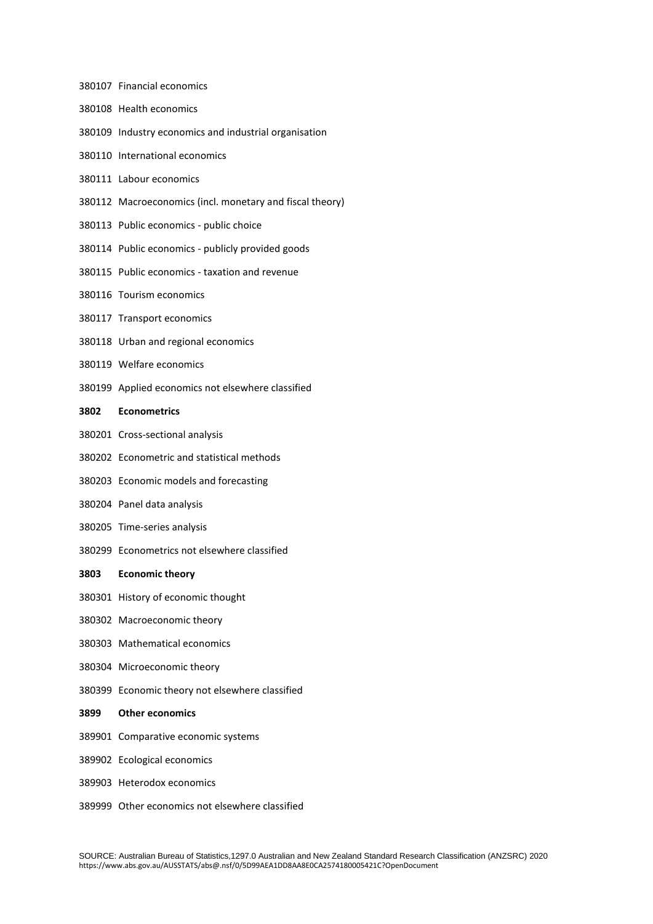- Financial economics
- Health economics
- Industry economics and industrial organisation
- International economics
- Labour economics
- Macroeconomics (incl. monetary and fiscal theory)
- Public economics public choice
- Public economics publicly provided goods
- Public economics taxation and revenue
- Tourism economics
- Transport economics
- Urban and regional economics
- Welfare economics
- Applied economics not elsewhere classified

## **Econometrics**

- Cross-sectional analysis
- Econometric and statistical methods
- Economic models and forecasting
- Panel data analysis
- Time-series analysis
- Econometrics not elsewhere classified

## **Economic theory**

- History of economic thought
- Macroeconomic theory
- Mathematical economics
- Microeconomic theory
- Economic theory not elsewhere classified

## **Other economics**

- Comparative economic systems
- Ecological economics
- Heterodox economics
- Other economics not elsewhere classified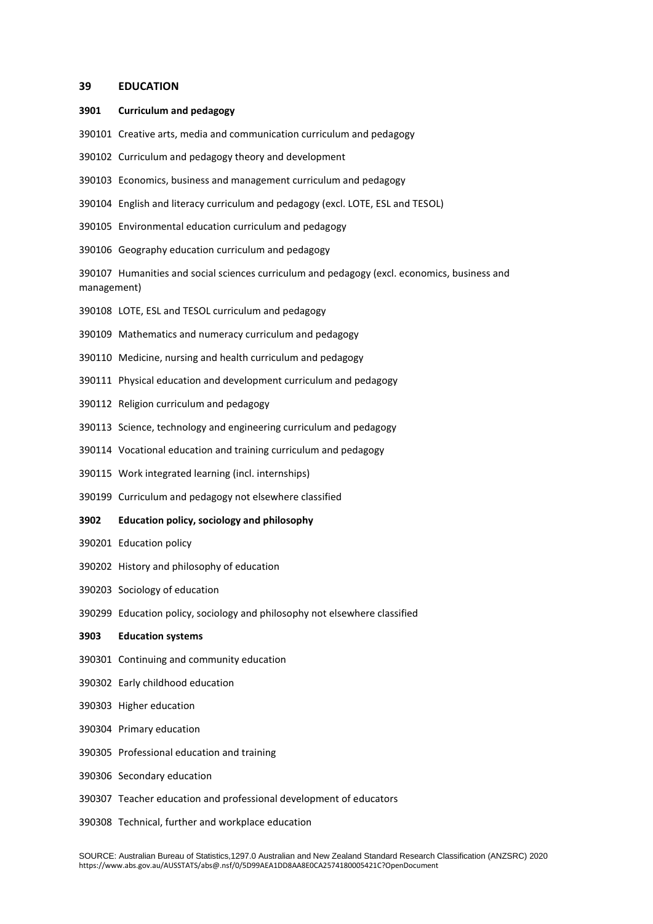## **EDUCATION**

#### **Curriculum and pedagogy**

- Creative arts, media and communication curriculum and pedagogy
- Curriculum and pedagogy theory and development
- Economics, business and management curriculum and pedagogy
- English and literacy curriculum and pedagogy (excl. LOTE, ESL and TESOL)
- Environmental education curriculum and pedagogy
- Geography education curriculum and pedagogy

 Humanities and social sciences curriculum and pedagogy (excl. economics, business and management)

- LOTE, ESL and TESOL curriculum and pedagogy
- Mathematics and numeracy curriculum and pedagogy
- Medicine, nursing and health curriculum and pedagogy
- Physical education and development curriculum and pedagogy
- Religion curriculum and pedagogy
- Science, technology and engineering curriculum and pedagogy
- Vocational education and training curriculum and pedagogy
- Work integrated learning (incl. internships)
- Curriculum and pedagogy not elsewhere classified
- **Education policy, sociology and philosophy**
- Education policy
- History and philosophy of education
- Sociology of education
- Education policy, sociology and philosophy not elsewhere classified
- **Education systems**
- Continuing and community education
- Early childhood education
- Higher education
- Primary education
- Professional education and training
- Secondary education
- Teacher education and professional development of educators
- Technical, further and workplace education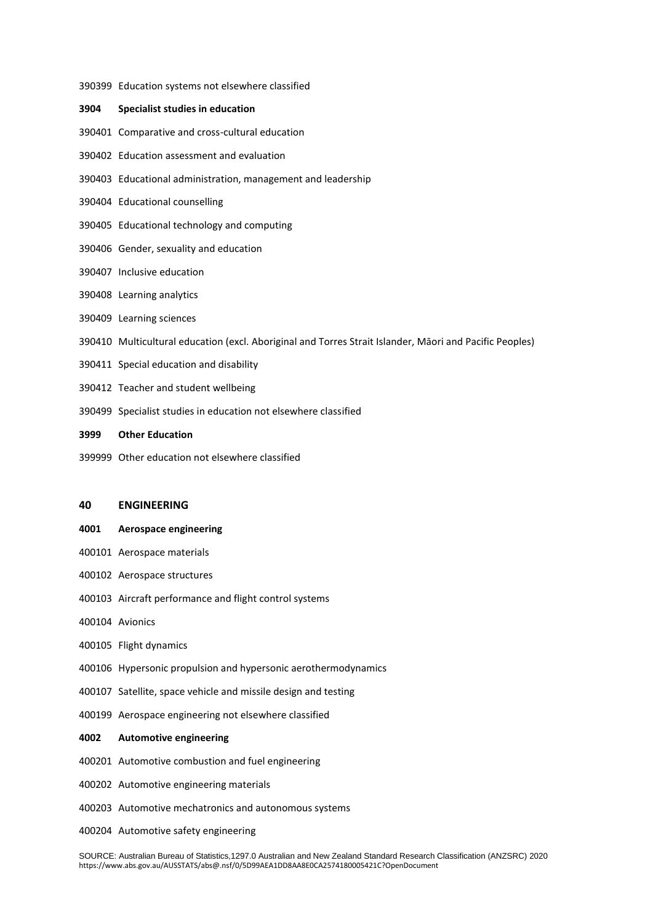#### Education systems not elsewhere classified

## **Specialist studies in education**

- Comparative and cross-cultural education
- Education assessment and evaluation
- Educational administration, management and leadership
- Educational counselling
- Educational technology and computing
- Gender, sexuality and education
- Inclusive education
- Learning analytics
- Learning sciences
- Multicultural education (excl. Aboriginal and Torres Strait Islander, Māori and Pacific Peoples)
- Special education and disability
- Teacher and student wellbeing
- Specialist studies in education not elsewhere classified
- **Other Education**
- Other education not elsewhere classified

## **ENGINEERING**

- **Aerospace engineering**
- Aerospace materials
- Aerospace structures
- Aircraft performance and flight control systems
- Avionics
- Flight dynamics
- Hypersonic propulsion and hypersonic aerothermodynamics
- Satellite, space vehicle and missile design and testing
- Aerospace engineering not elsewhere classified

## **Automotive engineering**

- Automotive combustion and fuel engineering
- Automotive engineering materials
- Automotive mechatronics and autonomous systems
- Automotive safety engineering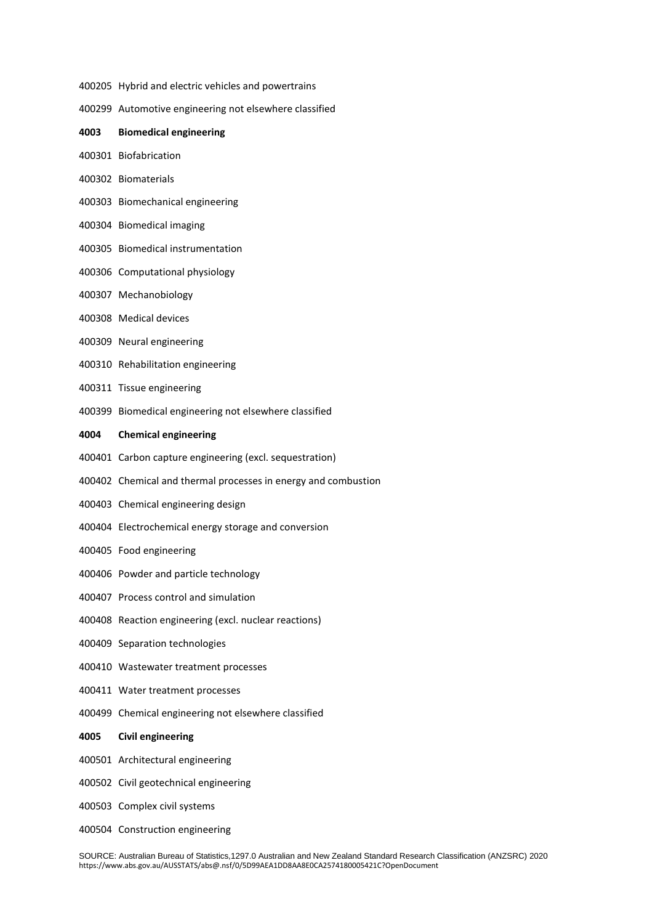- Hybrid and electric vehicles and powertrains
- Automotive engineering not elsewhere classified
- **Biomedical engineering**
- Biofabrication
- Biomaterials
- Biomechanical engineering
- Biomedical imaging
- Biomedical instrumentation
- Computational physiology
- Mechanobiology
- Medical devices
- Neural engineering
- Rehabilitation engineering
- Tissue engineering
- Biomedical engineering not elsewhere classified

#### **Chemical engineering**

- Carbon capture engineering (excl. sequestration)
- Chemical and thermal processes in energy and combustion
- Chemical engineering design
- Electrochemical energy storage and conversion
- Food engineering
- Powder and particle technology
- Process control and simulation
- Reaction engineering (excl. nuclear reactions)
- Separation technologies
- Wastewater treatment processes
- Water treatment processes
- Chemical engineering not elsewhere classified

## **Civil engineering**

- Architectural engineering
- Civil geotechnical engineering
- Complex civil systems
- Construction engineering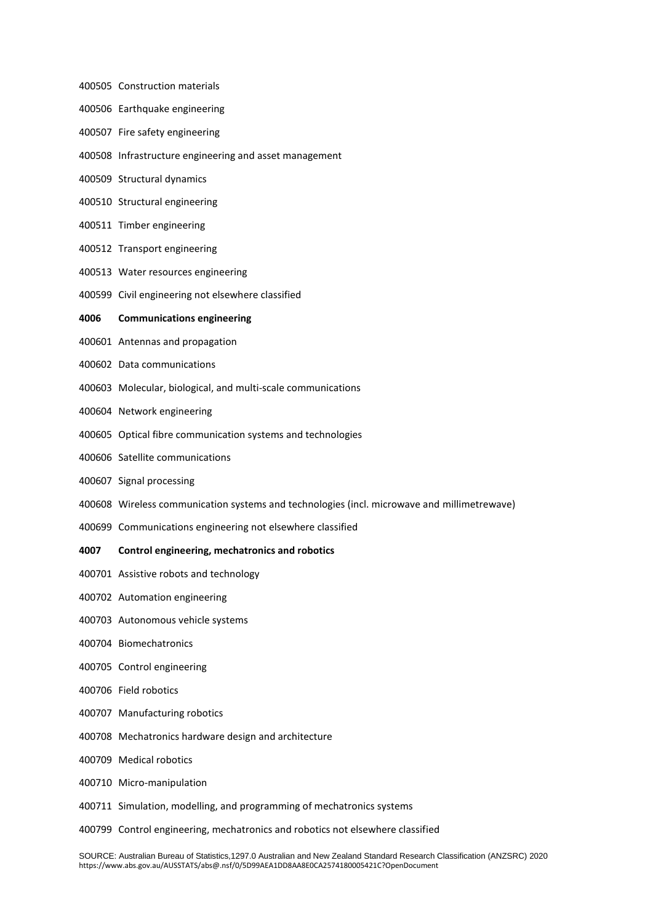- Construction materials
- Earthquake engineering
- Fire safety engineering
- Infrastructure engineering and asset management
- Structural dynamics
- Structural engineering
- Timber engineering
- Transport engineering
- Water resources engineering
- Civil engineering not elsewhere classified

## **Communications engineering**

- Antennas and propagation
- Data communications
- Molecular, biological, and multi-scale communications
- Network engineering
- Optical fibre communication systems and technologies
- Satellite communications
- Signal processing
- Wireless communication systems and technologies (incl. microwave and millimetrewave)
- Communications engineering not elsewhere classified

#### **Control engineering, mechatronics and robotics**

- Assistive robots and technology
- Automation engineering
- Autonomous vehicle systems
- Biomechatronics
- Control engineering
- Field robotics
- Manufacturing robotics
- Mechatronics hardware design and architecture
- Medical robotics
- Micro-manipulation
- Simulation, modelling, and programming of mechatronics systems
- Control engineering, mechatronics and robotics not elsewhere classified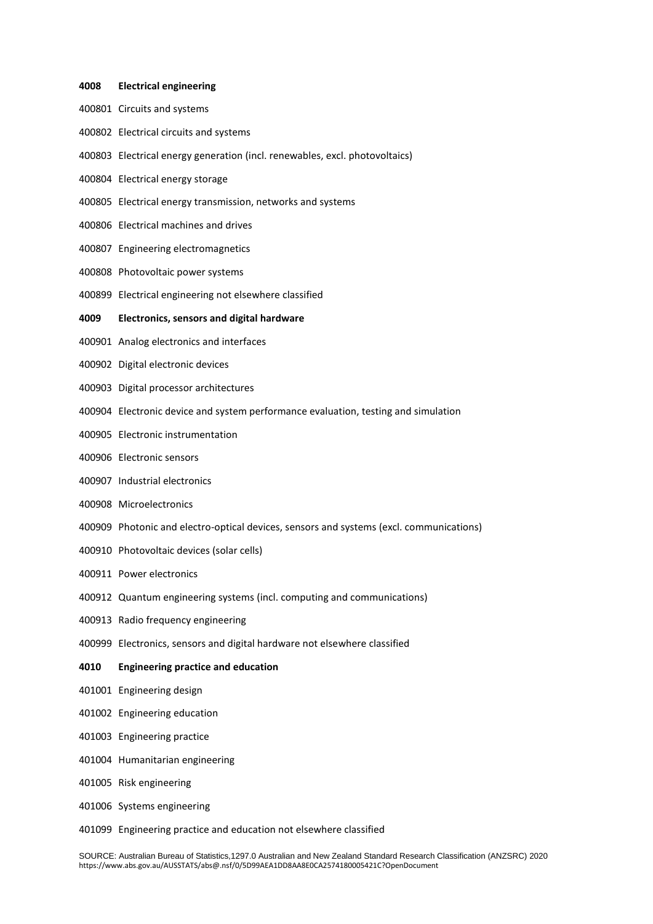| 4008 | <b>Electrical engineering</b>                                                           |
|------|-----------------------------------------------------------------------------------------|
|      | 400801 Circuits and systems                                                             |
|      | 400802 Electrical circuits and systems                                                  |
|      | 400803 Electrical energy generation (incl. renewables, excl. photovoltaics)             |
|      | 400804 Electrical energy storage                                                        |
|      | 400805 Electrical energy transmission, networks and systems                             |
|      | 400806 Electrical machines and drives                                                   |
|      | 400807 Engineering electromagnetics                                                     |
|      | 400808 Photovoltaic power systems                                                       |
|      | 400899 Electrical engineering not elsewhere classified                                  |
| 4009 | <b>Electronics, sensors and digital hardware</b>                                        |
|      | 400901 Analog electronics and interfaces                                                |
|      | 400902 Digital electronic devices                                                       |
|      | 400903 Digital processor architectures                                                  |
|      | 400904 Electronic device and system performance evaluation, testing and simulation      |
|      | 400905 Electronic instrumentation                                                       |
|      | 400906 Electronic sensors                                                               |
|      | 400907 Industrial electronics                                                           |
|      | 400908 Microelectronics                                                                 |
|      | 400909 Photonic and electro-optical devices, sensors and systems (excl. communications) |
|      | 400910 Photovoltaic devices (solar cells)                                               |
|      | 400911 Power electronics                                                                |
|      | 400912 Quantum engineering systems (incl. computing and communications)                 |
|      | 400913 Radio frequency engineering                                                      |
|      | 400999 Electronics, sensors and digital hardware not elsewhere classified               |
| 4010 | <b>Engineering practice and education</b>                                               |
|      | 401001 Engineering design                                                               |
|      | 401002 Engineering education                                                            |
|      | 401003 Engineering practice                                                             |
|      | 401004 Humanitarian engineering                                                         |
|      | 401005 Risk engineering                                                                 |
|      | 401006 Systems engineering                                                              |
|      | 401099 Engineering practice and education not elsewhere classified                      |

#### SOURCE: Australian Bureau of Statistics,1297.0 Australian and New Zealand Standard Research Classification (ANZSRC) 2020 https://www.abs.gov.au/AUSSTATS/abs@.nsf/0/5D99AEA1DD8AA8E0CA2574180005421C?OpenDocument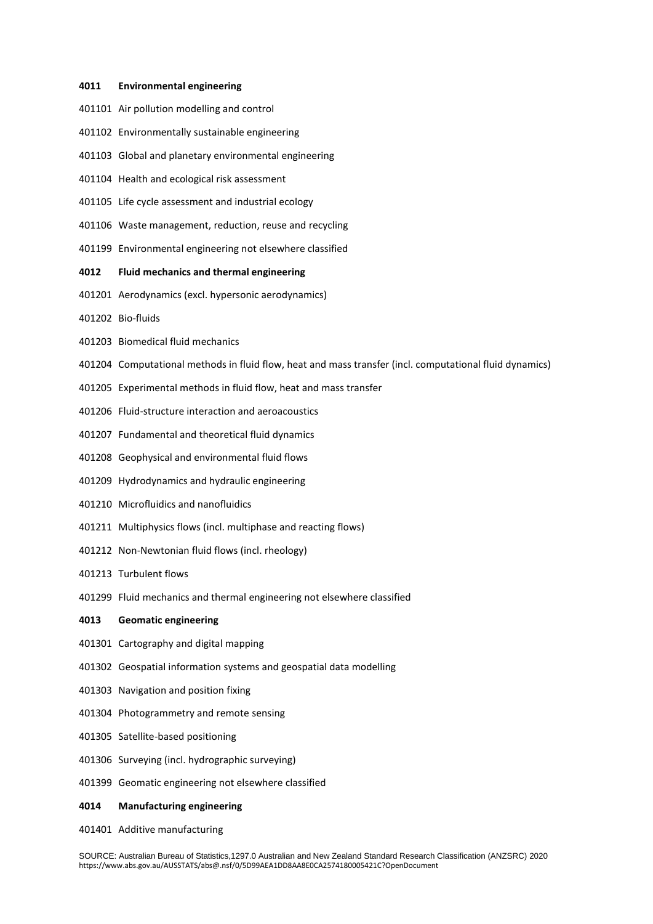#### **Environmental engineering**

- Air pollution modelling and control
- Environmentally sustainable engineering
- Global and planetary environmental engineering
- Health and ecological risk assessment
- Life cycle assessment and industrial ecology
- Waste management, reduction, reuse and recycling
- Environmental engineering not elsewhere classified

## **Fluid mechanics and thermal engineering**

- Aerodynamics (excl. hypersonic aerodynamics)
- Bio-fluids
- Biomedical fluid mechanics
- Computational methods in fluid flow, heat and mass transfer (incl. computational fluid dynamics)
- Experimental methods in fluid flow, heat and mass transfer
- Fluid-structure interaction and aeroacoustics
- Fundamental and theoretical fluid dynamics
- Geophysical and environmental fluid flows
- Hydrodynamics and hydraulic engineering
- Microfluidics and nanofluidics
- Multiphysics flows (incl. multiphase and reacting flows)
- Non-Newtonian fluid flows (incl. rheology)
- Turbulent flows
- Fluid mechanics and thermal engineering not elsewhere classified

## **Geomatic engineering**

- Cartography and digital mapping
- Geospatial information systems and geospatial data modelling
- Navigation and position fixing
- Photogrammetry and remote sensing
- Satellite-based positioning
- Surveying (incl. hydrographic surveying)
- Geomatic engineering not elsewhere classified

#### **Manufacturing engineering**

Additive manufacturing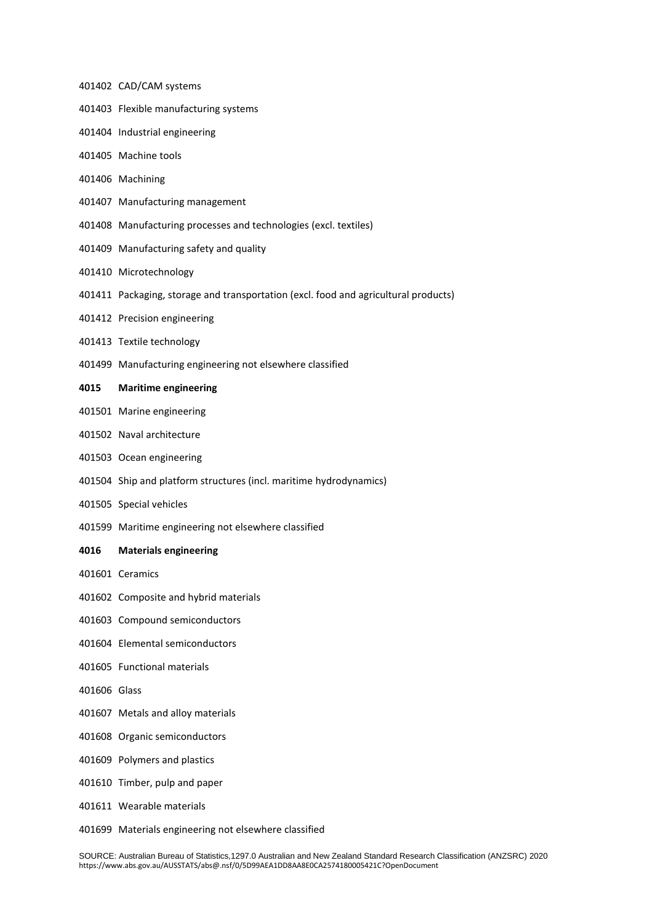#### CAD/CAM systems

- Flexible manufacturing systems
- Industrial engineering
- Machine tools
- Machining
- Manufacturing management
- Manufacturing processes and technologies (excl. textiles)
- Manufacturing safety and quality
- Microtechnology
- Packaging, storage and transportation (excl. food and agricultural products)
- Precision engineering
- Textile technology
- Manufacturing engineering not elsewhere classified

## **Maritime engineering**

- Marine engineering
- Naval architecture
- Ocean engineering
- Ship and platform structures (incl. maritime hydrodynamics)
- Special vehicles
- Maritime engineering not elsewhere classified

## **Materials engineering**

- Ceramics
- Composite and hybrid materials
- Compound semiconductors
- Elemental semiconductors
- Functional materials
- Glass
- Metals and alloy materials
- Organic semiconductors
- Polymers and plastics
- Timber, pulp and paper
- Wearable materials
- Materials engineering not elsewhere classified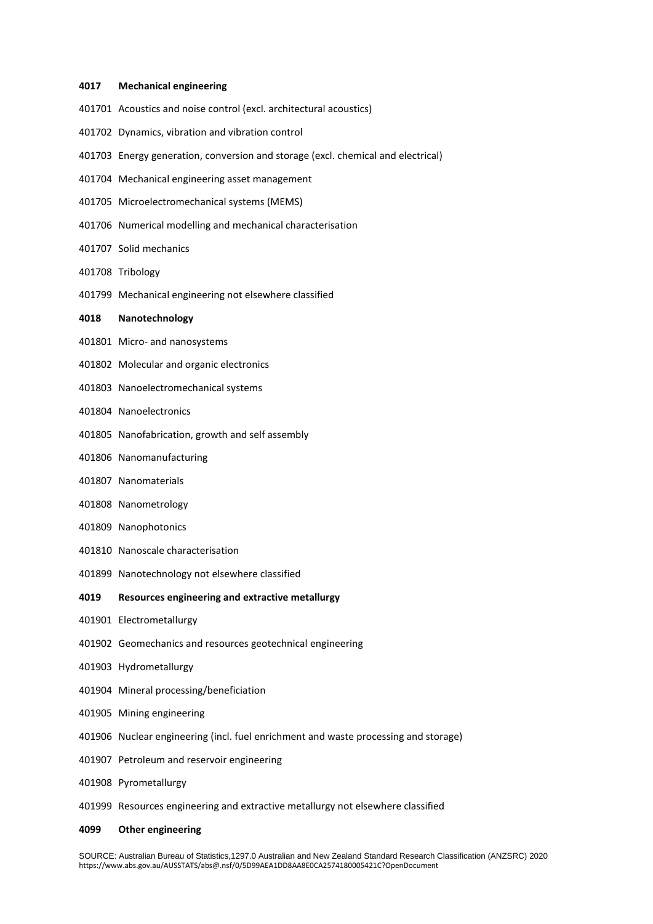#### **Mechanical engineering**

- Acoustics and noise control (excl. architectural acoustics)
- Dynamics, vibration and vibration control
- Energy generation, conversion and storage (excl. chemical and electrical)
- Mechanical engineering asset management
- Microelectromechanical systems (MEMS)
- Numerical modelling and mechanical characterisation
- Solid mechanics
- Tribology
- Mechanical engineering not elsewhere classified

## **Nanotechnology**

- Micro- and nanosystems
- Molecular and organic electronics
- Nanoelectromechanical systems
- Nanoelectronics
- Nanofabrication, growth and self assembly
- Nanomanufacturing
- Nanomaterials
- Nanometrology
- Nanophotonics
- Nanoscale characterisation
- Nanotechnology not elsewhere classified
- **Resources engineering and extractive metallurgy**
- Electrometallurgy
- Geomechanics and resources geotechnical engineering
- Hydrometallurgy
- Mineral processing/beneficiation
- Mining engineering
- Nuclear engineering (incl. fuel enrichment and waste processing and storage)
- Petroleum and reservoir engineering
- Pyrometallurgy
- Resources engineering and extractive metallurgy not elsewhere classified
- **Other engineering**

SOURCE: Australian Bureau of Statistics,1297.0 Australian and New Zealand Standard Research Classification (ANZSRC) 2020 https://www.abs.gov.au/AUSSTATS/abs@.nsf/0/5D99AEA1DD8AA8E0CA2574180005421C?OpenDocument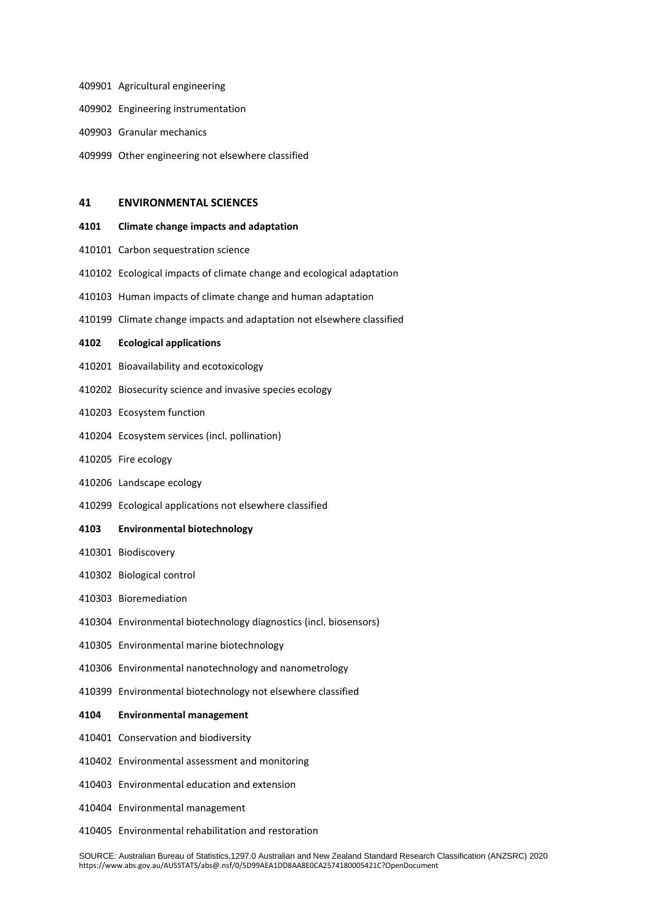- Agricultural engineering
- Engineering instrumentation
- Granular mechanics
- Other engineering not elsewhere classified

## **ENVIRONMENTAL SCIENCES**

#### **Climate change impacts and adaptation**

- Carbon sequestration science
- Ecological impacts of climate change and ecological adaptation
- Human impacts of climate change and human adaptation
- Climate change impacts and adaptation not elsewhere classified

## **Ecological applications**

- Bioavailability and ecotoxicology
- Biosecurity science and invasive species ecology
- Ecosystem function
- Ecosystem services (incl. pollination)
- Fire ecology
- Landscape ecology
- Ecological applications not elsewhere classified
- **Environmental biotechnology**
- Biodiscovery
- Biological control
- Bioremediation
- Environmental biotechnology diagnostics (incl. biosensors)
- Environmental marine biotechnology
- Environmental nanotechnology and nanometrology
- Environmental biotechnology not elsewhere classified

## **Environmental management**

- Conservation and biodiversity
- Environmental assessment and monitoring
- Environmental education and extension
- Environmental management
- Environmental rehabilitation and restoration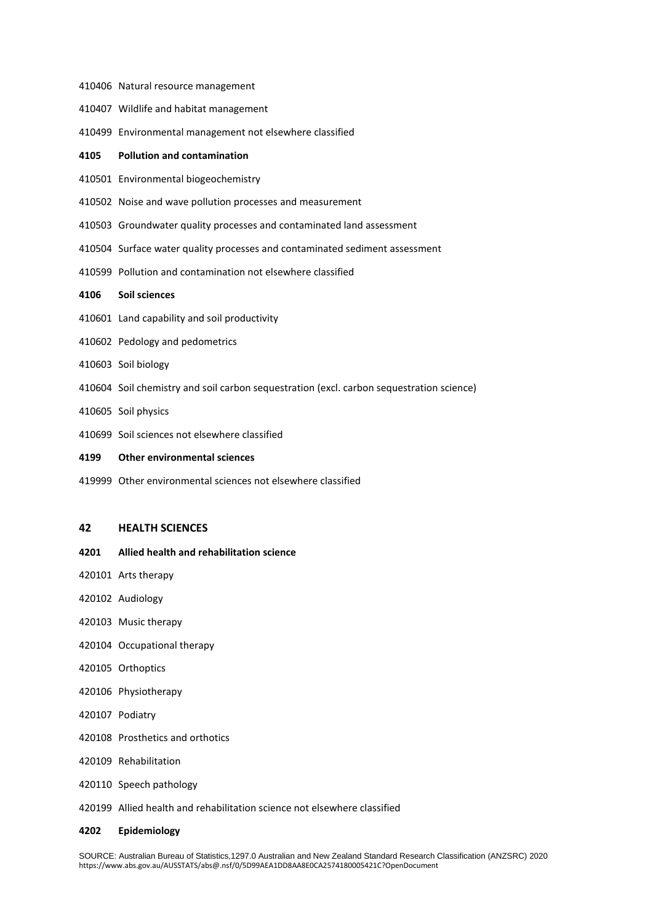- Natural resource management
- Wildlife and habitat management
- Environmental management not elsewhere classified

## **Pollution and contamination**

- Environmental biogeochemistry
- Noise and wave pollution processes and measurement
- Groundwater quality processes and contaminated land assessment
- Surface water quality processes and contaminated sediment assessment
- Pollution and contamination not elsewhere classified

## **Soil sciences**

- Land capability and soil productivity
- Pedology and pedometrics
- Soil biology
- Soil chemistry and soil carbon sequestration (excl. carbon sequestration science)
- Soil physics
- Soil sciences not elsewhere classified
- **Other environmental sciences**
- Other environmental sciences not elsewhere classified

## **HEALTH SCIENCES**

## **Allied health and rehabilitation science**

- Arts therapy
- Audiology
- Music therapy
- Occupational therapy
- Orthoptics
- Physiotherapy
- Podiatry
- Prosthetics and orthotics
- Rehabilitation
- Speech pathology
- Allied health and rehabilitation science not elsewhere classified

#### **Epidemiology**

SOURCE: Australian Bureau of Statistics,1297.0 Australian and New Zealand Standard Research Classification (ANZSRC) 2020 https://www.abs.gov.au/AUSSTATS/abs@.nsf/0/5D99AEA1DD8AA8E0CA2574180005421C?OpenDocument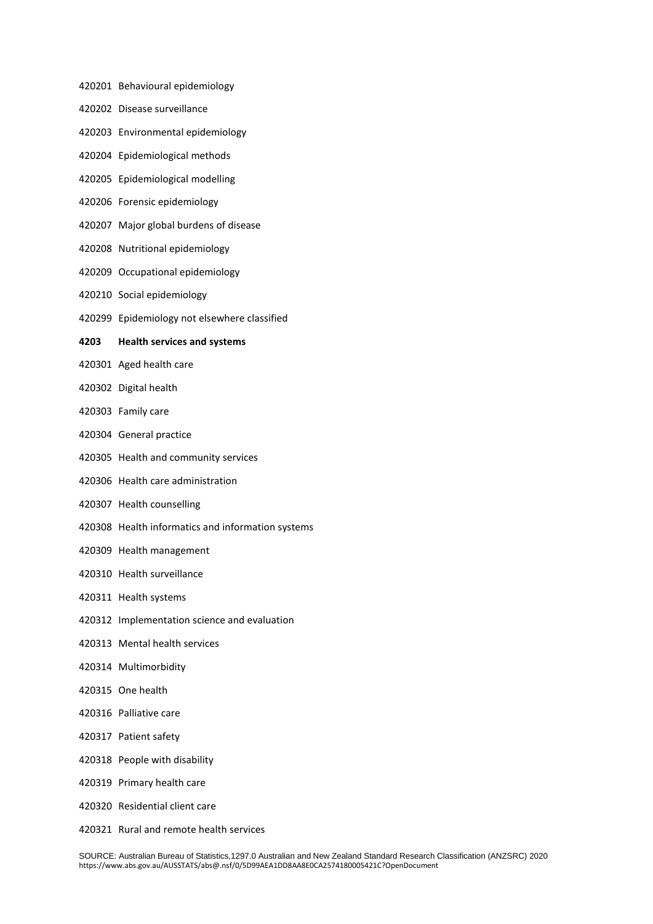- Behavioural epidemiology
- Disease surveillance
- Environmental epidemiology
- Epidemiological methods
- Epidemiological modelling
- Forensic epidemiology
- Major global burdens of disease
- Nutritional epidemiology
- Occupational epidemiology
- Social epidemiology
- Epidemiology not elsewhere classified

## **Health services and systems**

- Aged health care
- Digital health
- Family care
- General practice
- Health and community services
- Health care administration
- Health counselling
- Health informatics and information systems
- Health management
- Health surveillance
- Health systems
- Implementation science and evaluation
- Mental health services
- Multimorbidity
- One health
- Palliative care
- Patient safety
- People with disability
- Primary health care
- Residential client care
- Rural and remote health services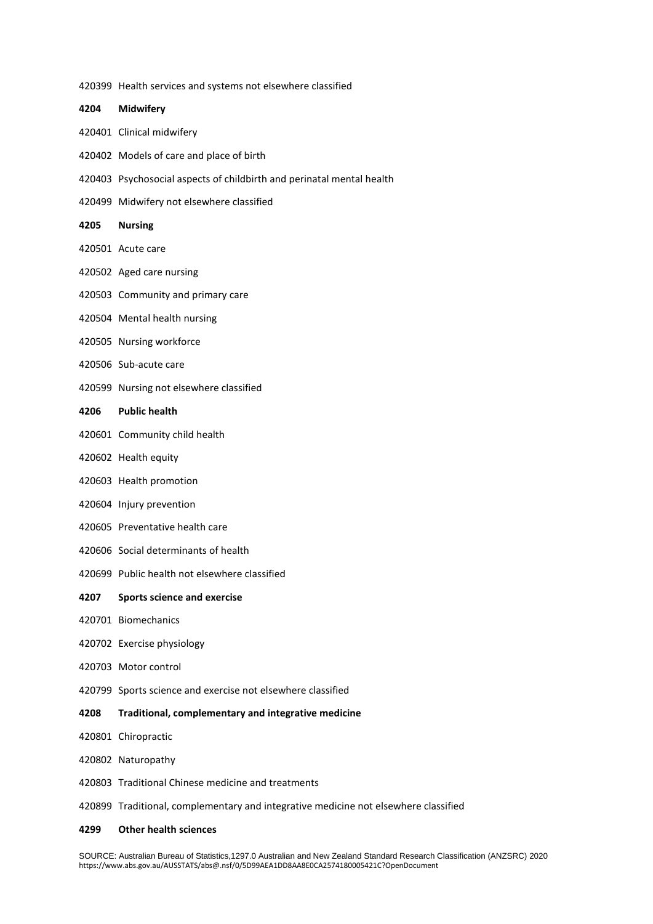- Health services and systems not elsewhere classified **Midwifery** Clinical midwifery Models of care and place of birth Psychosocial aspects of childbirth and perinatal mental health Midwifery not elsewhere classified **Nursing** Acute care Aged care nursing Community and primary care Mental health nursing Nursing workforce Sub-acute care Nursing not elsewhere classified **Public health** Community child health Health equity Health promotion Injury prevention Preventative health care Social determinants of health Public health not elsewhere classified **Sports science and exercise** Biomechanics Exercise physiology Motor control Sports science and exercise not elsewhere classified **Traditional, complementary and integrative medicine** Chiropractic Naturopathy
- Traditional Chinese medicine and treatments
- Traditional, complementary and integrative medicine not elsewhere classified
- **Other health sciences**

SOURCE: Australian Bureau of Statistics,1297.0 Australian and New Zealand Standard Research Classification (ANZSRC) 2020 https://www.abs.gov.au/AUSSTATS/abs@.nsf/0/5D99AEA1DD8AA8E0CA2574180005421C?OpenDocument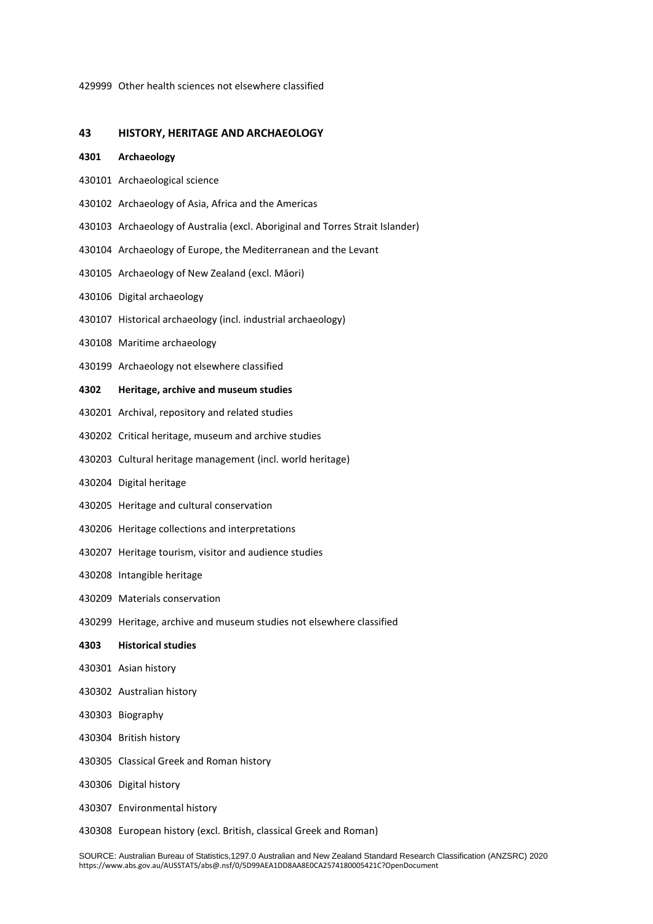Other health sciences not elsewhere classified

## **HISTORY, HERITAGE AND ARCHAEOLOGY**

#### **Archaeology**

- Archaeological science
- Archaeology of Asia, Africa and the Americas
- Archaeology of Australia (excl. Aboriginal and Torres Strait Islander)
- Archaeology of Europe, the Mediterranean and the Levant
- Archaeology of New Zealand (excl. Māori)
- Digital archaeology
- Historical archaeology (incl. industrial archaeology)
- Maritime archaeology
- Archaeology not elsewhere classified
- **Heritage, archive and museum studies**
- Archival, repository and related studies
- Critical heritage, museum and archive studies
- Cultural heritage management (incl. world heritage)
- Digital heritage
- Heritage and cultural conservation
- Heritage collections and interpretations
- Heritage tourism, visitor and audience studies
- Intangible heritage
- Materials conservation
- Heritage, archive and museum studies not elsewhere classified

## **Historical studies**

- Asian history
- Australian history
- Biography
- British history
- Classical Greek and Roman history
- Digital history
- Environmental history
- European history (excl. British, classical Greek and Roman)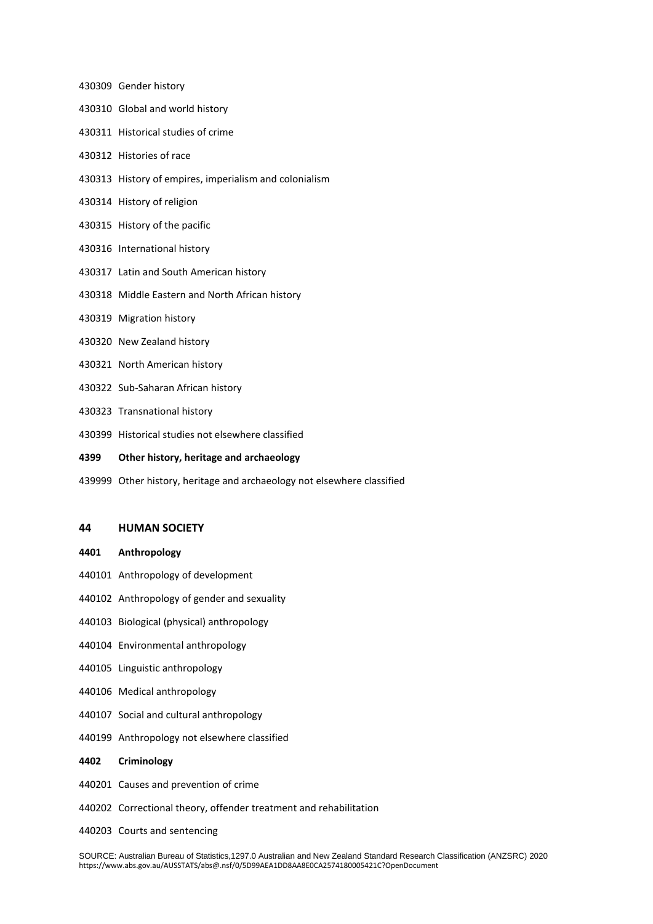- Gender history
- Global and world history
- Historical studies of crime
- Histories of race
- History of empires, imperialism and colonialism
- History of religion
- History of the pacific
- International history
- Latin and South American history
- Middle Eastern and North African history
- Migration history
- New Zealand history
- North American history
- Sub-Saharan African history
- Transnational history
- Historical studies not elsewhere classified
- **Other history, heritage and archaeology**
- Other history, heritage and archaeology not elsewhere classified

## **HUMAN SOCIETY**

- **Anthropology**
- Anthropology of development
- Anthropology of gender and sexuality
- Biological (physical) anthropology
- Environmental anthropology
- Linguistic anthropology
- Medical anthropology
- Social and cultural anthropology
- Anthropology not elsewhere classified

## **Criminology**

- Causes and prevention of crime
- Correctional theory, offender treatment and rehabilitation
- Courts and sentencing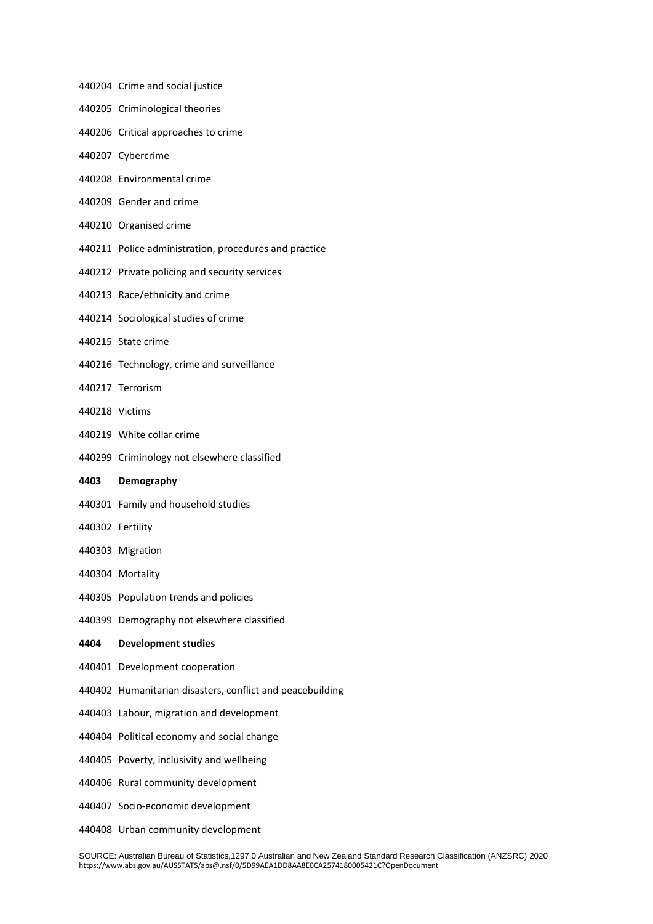- Crime and social justice
- Criminological theories
- Critical approaches to crime
- Cybercrime
- Environmental crime
- Gender and crime
- Organised crime
- Police administration, procedures and practice
- Private policing and security services
- Race/ethnicity and crime
- Sociological studies of crime
- State crime
- Technology, crime and surveillance
- Terrorism
- Victims
- White collar crime
- Criminology not elsewhere classified
- **Demography**
- Family and household studies
- Fertility
- Migration
- Mortality
- Population trends and policies
- Demography not elsewhere classified

## **Development studies**

- Development cooperation
- Humanitarian disasters, conflict and peacebuilding
- Labour, migration and development
- Political economy and social change
- Poverty, inclusivity and wellbeing
- Rural community development
- Socio-economic development
- Urban community development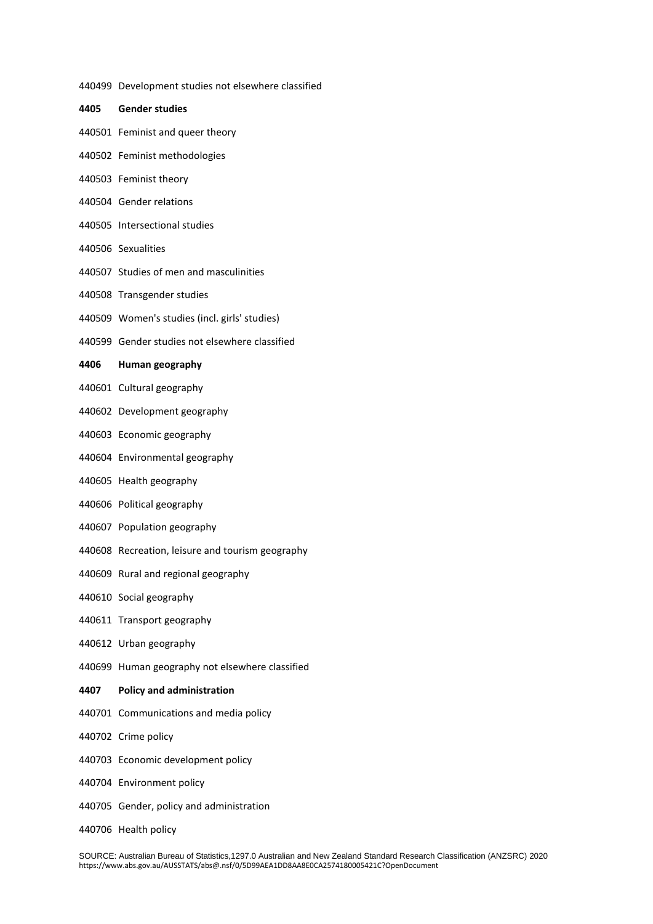here classified

| 440499 Development studies not elsewhere classifi |
|---------------------------------------------------|
| 4405 Gender studies                               |
| 440501 Feminist and queer theory                  |
| 440502 Feminist methodologies                     |
| 440503 Feminist theory                            |
| 440504 Gender relations                           |
| 440505 Intersectional studies                     |
| 440506 Sexualities                                |
| 440507 Studies of men and masculinities           |
| 440508 Transgender studies                        |
| 440509 Women's studies (incl. girls' studies)     |
| 440599 Gender studies not elsewhere classified    |
| 4406 Human geography                              |
| 440601 Cultural geography                         |
| 440602 Development geography                      |
| 440603 Economic geography                         |
| 440604 Environmental geography                    |
| 440605 Health geography                           |
| 440606 Political geography                        |
| 440607 Population geography                       |
| 440608 Recreation, leisure and tourism geography  |
| 440609 Rural and regional geography               |
| 440610 Social geography                           |
| 440611 Transport geography                        |
| 440612 Urban geography                            |
| 440699 Human geography not elsewhere classified   |
| 4407 Policy and administration                    |
| 440701 Communications and media policy            |
| 440702 Crime policy                               |
| 440703 Economic development policy                |

- Environment policy
- Gender, policy and administration
- Health policy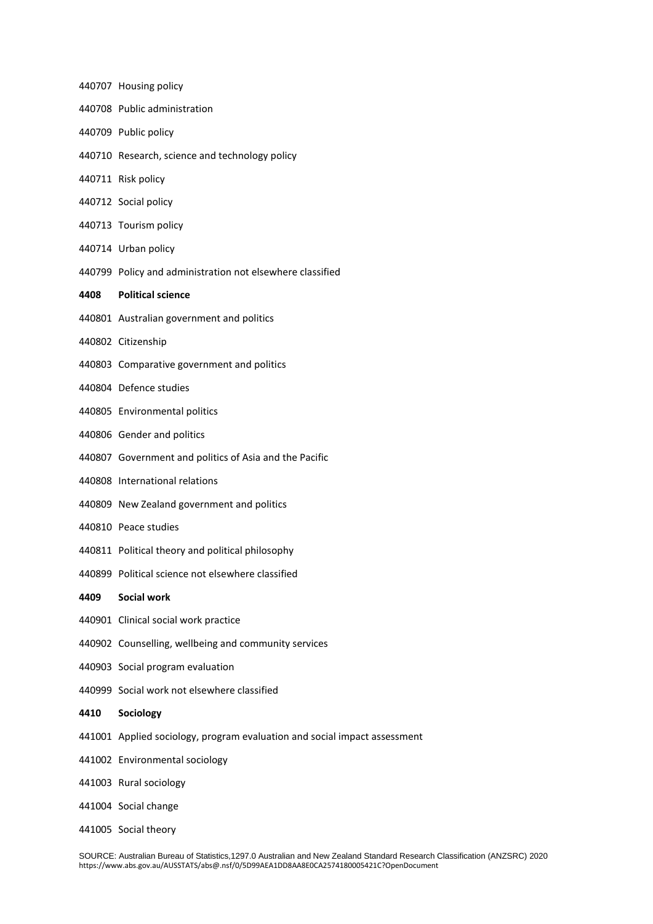Housing policy Public administration Public policy Research, science and technology policy Risk policy Social policy Tourism policy Urban policy Policy and administration not elsewhere classified **Political science** Australian government and politics Citizenship Comparative government and politics Defence studies Environmental politics Gender and politics Government and politics of Asia and the Pacific International relations New Zealand government and politics Peace studies Political theory and political philosophy Political science not elsewhere classified **Social work** Clinical social work practice Counselling, wellbeing and community services Social program evaluation Social work not elsewhere classified **Sociology** Applied sociology, program evaluation and social impact assessment Environmental sociology Rural sociology Social change Social theory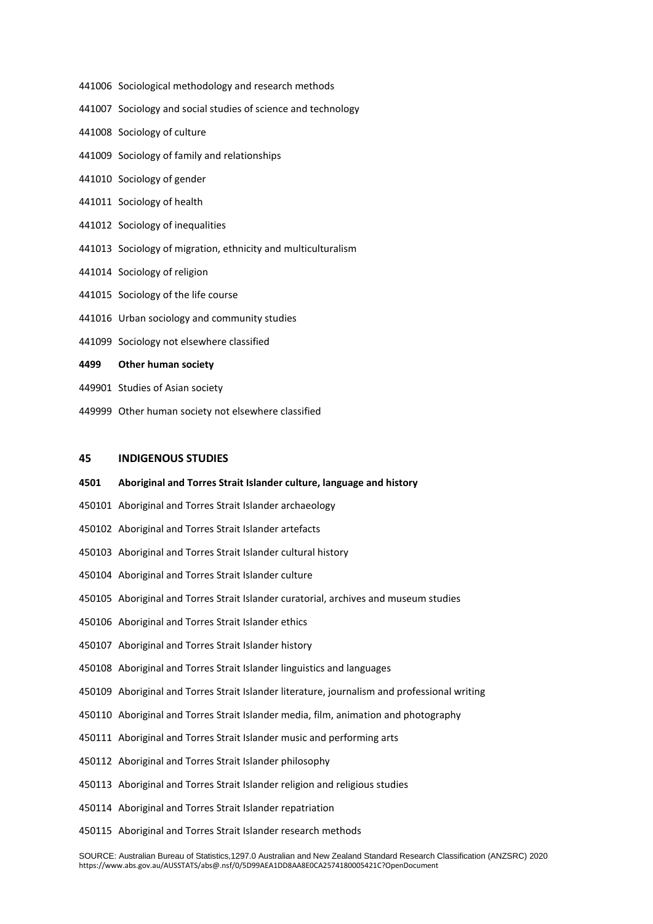- Sociological methodology and research methods
- Sociology and social studies of science and technology
- Sociology of culture
- Sociology of family and relationships
- Sociology of gender
- Sociology of health
- Sociology of inequalities
- Sociology of migration, ethnicity and multiculturalism
- Sociology of religion
- Sociology of the life course
- Urban sociology and community studies
- Sociology not elsewhere classified
- **Other human society**
- Studies of Asian society
- Other human society not elsewhere classified

#### **INDIGENOUS STUDIES**

- **Aboriginal and Torres Strait Islander culture, language and history**
- Aboriginal and Torres Strait Islander archaeology
- Aboriginal and Torres Strait Islander artefacts
- Aboriginal and Torres Strait Islander cultural history
- Aboriginal and Torres Strait Islander culture
- Aboriginal and Torres Strait Islander curatorial, archives and museum studies
- Aboriginal and Torres Strait Islander ethics
- Aboriginal and Torres Strait Islander history
- Aboriginal and Torres Strait Islander linguistics and languages
- Aboriginal and Torres Strait Islander literature, journalism and professional writing
- Aboriginal and Torres Strait Islander media, film, animation and photography
- Aboriginal and Torres Strait Islander music and performing arts
- Aboriginal and Torres Strait Islander philosophy
- Aboriginal and Torres Strait Islander religion and religious studies
- Aboriginal and Torres Strait Islander repatriation
- Aboriginal and Torres Strait Islander research methods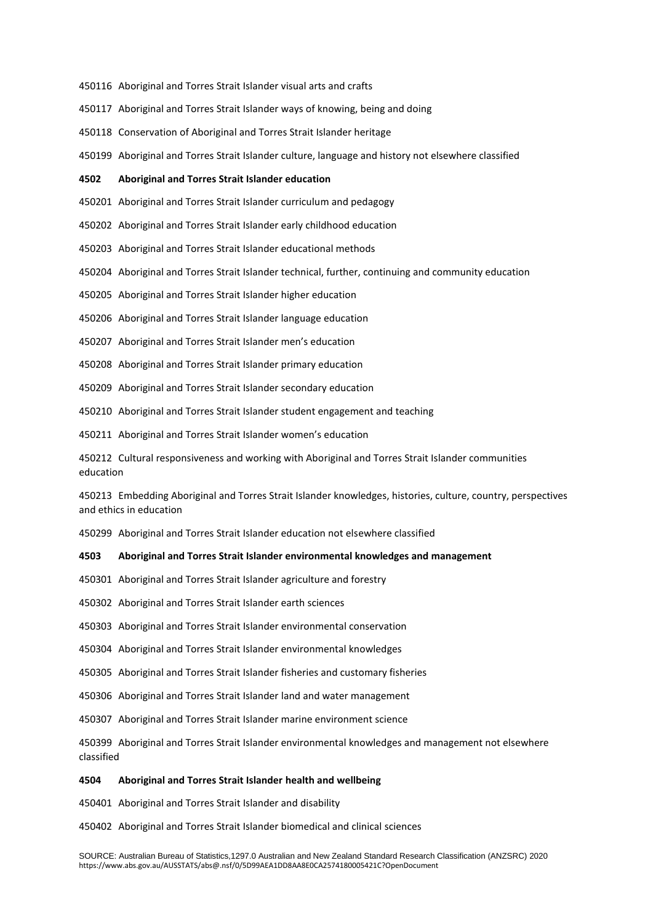- Aboriginal and Torres Strait Islander visual arts and crafts
- Aboriginal and Torres Strait Islander ways of knowing, being and doing
- Conservation of Aboriginal and Torres Strait Islander heritage
- Aboriginal and Torres Strait Islander culture, language and history not elsewhere classified

#### **Aboriginal and Torres Strait Islander education**

Aboriginal and Torres Strait Islander curriculum and pedagogy

Aboriginal and Torres Strait Islander early childhood education

Aboriginal and Torres Strait Islander educational methods

Aboriginal and Torres Strait Islander technical, further, continuing and community education

Aboriginal and Torres Strait Islander higher education

- Aboriginal and Torres Strait Islander language education
- Aboriginal and Torres Strait Islander men's education
- Aboriginal and Torres Strait Islander primary education
- Aboriginal and Torres Strait Islander secondary education
- Aboriginal and Torres Strait Islander student engagement and teaching
- Aboriginal and Torres Strait Islander women's education
- Cultural responsiveness and working with Aboriginal and Torres Strait Islander communities education

 Embedding Aboriginal and Torres Strait Islander knowledges, histories, culture, country, perspectives and ethics in education

Aboriginal and Torres Strait Islander education not elsewhere classified

#### **Aboriginal and Torres Strait Islander environmental knowledges and management**

Aboriginal and Torres Strait Islander agriculture and forestry

Aboriginal and Torres Strait Islander earth sciences

Aboriginal and Torres Strait Islander environmental conservation

Aboriginal and Torres Strait Islander environmental knowledges

Aboriginal and Torres Strait Islander fisheries and customary fisheries

Aboriginal and Torres Strait Islander land and water management

Aboriginal and Torres Strait Islander marine environment science

 Aboriginal and Torres Strait Islander environmental knowledges and management not elsewhere classified

#### **Aboriginal and Torres Strait Islander health and wellbeing**

Aboriginal and Torres Strait Islander and disability

Aboriginal and Torres Strait Islander biomedical and clinical sciences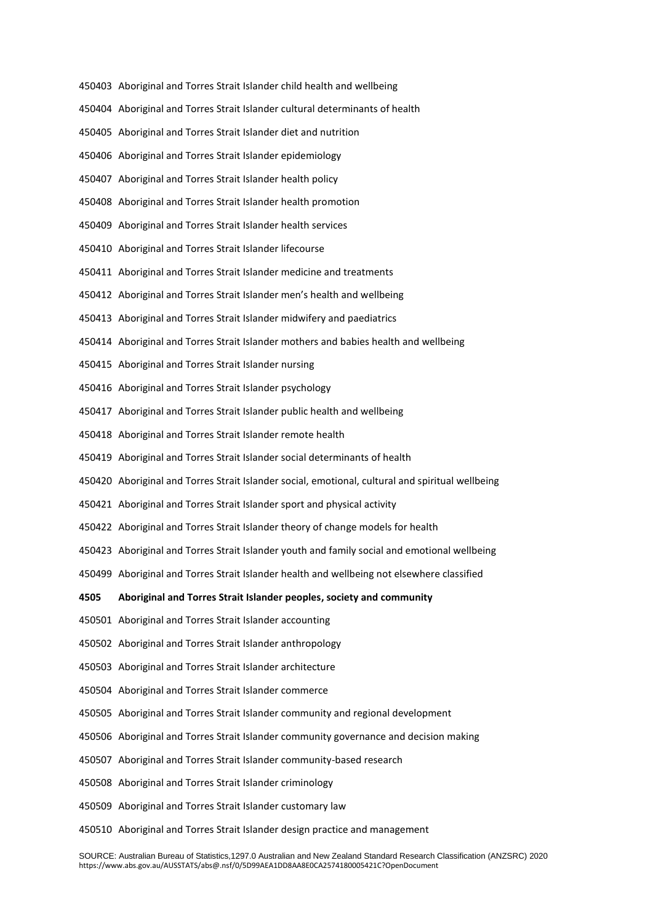- Aboriginal and Torres Strait Islander child health and wellbeing
- Aboriginal and Torres Strait Islander cultural determinants of health
- Aboriginal and Torres Strait Islander diet and nutrition
- Aboriginal and Torres Strait Islander epidemiology
- Aboriginal and Torres Strait Islander health policy
- Aboriginal and Torres Strait Islander health promotion
- Aboriginal and Torres Strait Islander health services
- Aboriginal and Torres Strait Islander lifecourse
- Aboriginal and Torres Strait Islander medicine and treatments
- Aboriginal and Torres Strait Islander men's health and wellbeing
- Aboriginal and Torres Strait Islander midwifery and paediatrics
- Aboriginal and Torres Strait Islander mothers and babies health and wellbeing
- Aboriginal and Torres Strait Islander nursing
- Aboriginal and Torres Strait Islander psychology
- Aboriginal and Torres Strait Islander public health and wellbeing
- Aboriginal and Torres Strait Islander remote health
- Aboriginal and Torres Strait Islander social determinants of health
- Aboriginal and Torres Strait Islander social, emotional, cultural and spiritual wellbeing
- Aboriginal and Torres Strait Islander sport and physical activity
- Aboriginal and Torres Strait Islander theory of change models for health
- Aboriginal and Torres Strait Islander youth and family social and emotional wellbeing
- Aboriginal and Torres Strait Islander health and wellbeing not elsewhere classified
- **Aboriginal and Torres Strait Islander peoples, society and community**
- Aboriginal and Torres Strait Islander accounting
- Aboriginal and Torres Strait Islander anthropology
- Aboriginal and Torres Strait Islander architecture
- Aboriginal and Torres Strait Islander commerce
- Aboriginal and Torres Strait Islander community and regional development
- Aboriginal and Torres Strait Islander community governance and decision making
- Aboriginal and Torres Strait Islander community-based research
- Aboriginal and Torres Strait Islander criminology
- Aboriginal and Torres Strait Islander customary law
- Aboriginal and Torres Strait Islander design practice and management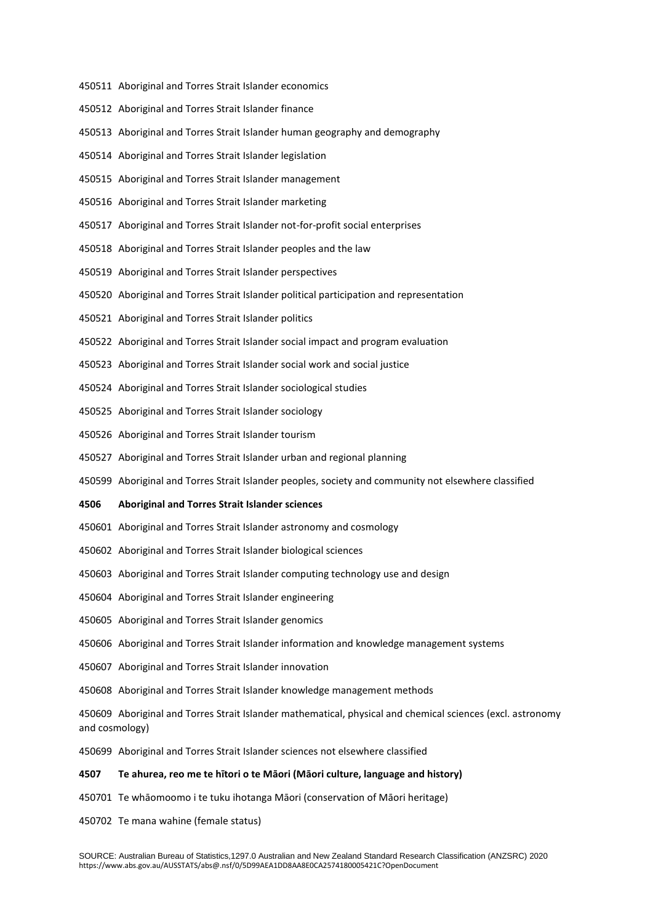- Aboriginal and Torres Strait Islander economics
- Aboriginal and Torres Strait Islander finance
- Aboriginal and Torres Strait Islander human geography and demography
- Aboriginal and Torres Strait Islander legislation
- Aboriginal and Torres Strait Islander management
- Aboriginal and Torres Strait Islander marketing
- Aboriginal and Torres Strait Islander not-for-profit social enterprises
- Aboriginal and Torres Strait Islander peoples and the law
- Aboriginal and Torres Strait Islander perspectives
- Aboriginal and Torres Strait Islander political participation and representation
- Aboriginal and Torres Strait Islander politics
- Aboriginal and Torres Strait Islander social impact and program evaluation
- Aboriginal and Torres Strait Islander social work and social justice
- Aboriginal and Torres Strait Islander sociological studies
- Aboriginal and Torres Strait Islander sociology
- Aboriginal and Torres Strait Islander tourism
- Aboriginal and Torres Strait Islander urban and regional planning
- Aboriginal and Torres Strait Islander peoples, society and community not elsewhere classified

#### **Aboriginal and Torres Strait Islander sciences**

- Aboriginal and Torres Strait Islander astronomy and cosmology
- Aboriginal and Torres Strait Islander biological sciences
- Aboriginal and Torres Strait Islander computing technology use and design
- Aboriginal and Torres Strait Islander engineering
- Aboriginal and Torres Strait Islander genomics
- Aboriginal and Torres Strait Islander information and knowledge management systems
- Aboriginal and Torres Strait Islander innovation
- Aboriginal and Torres Strait Islander knowledge management methods

 Aboriginal and Torres Strait Islander mathematical, physical and chemical sciences (excl. astronomy and cosmology)

Aboriginal and Torres Strait Islander sciences not elsewhere classified

## **Te ahurea, reo me te hītori o te Māori (Māori culture, language and history)**

- Te whāomoomo i te tuku ihotanga Māori (conservation of Māori heritage)
- Te mana wahine (female status)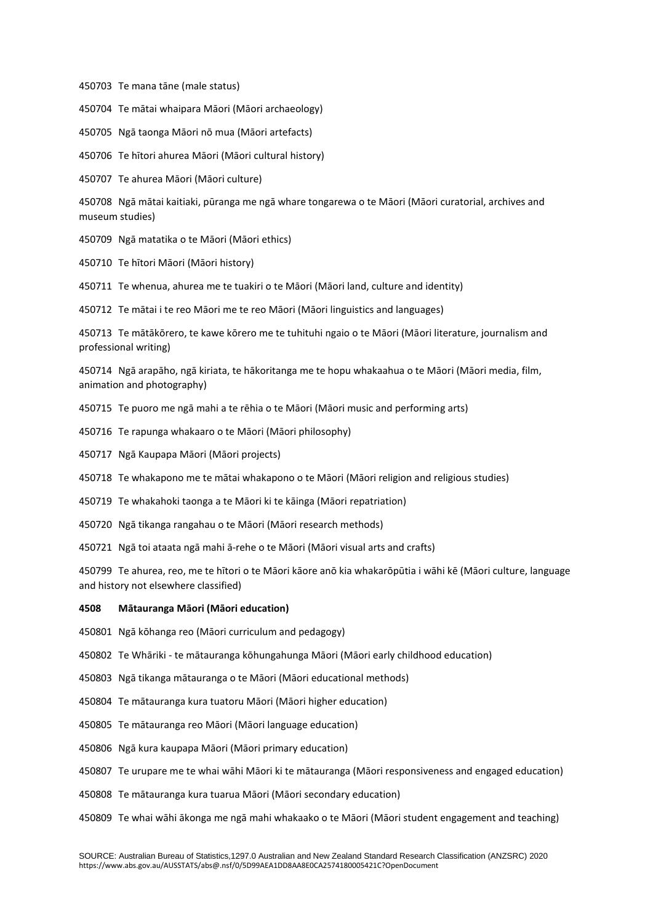Te mana tāne (male status)

Te mātai whaipara Māori (Māori archaeology)

Ngā taonga Māori nō mua (Māori artefacts)

Te hītori ahurea Māori (Māori cultural history)

Te ahurea Māori (Māori culture)

 Ngā mātai kaitiaki, pūranga me ngā whare tongarewa o te Māori (Māori curatorial, archives and museum studies)

Ngā matatika o te Māori (Māori ethics)

Te hītori Māori (Māori history)

Te whenua, ahurea me te tuakiri o te Māori (Māori land, culture and identity)

Te mātai i te reo Māori me te reo Māori (Māori linguistics and languages)

 Te mātākōrero, te kawe kōrero me te tuhituhi ngaio o te Māori (Māori literature, journalism and professional writing)

 Ngā arapāho, ngā kiriata, te hākoritanga me te hopu whakaahua o te Māori (Māori media, film, animation and photography)

Te puoro me ngā mahi a te rēhia o te Māori (Māori music and performing arts)

Te rapunga whakaaro o te Māori (Māori philosophy)

Ngā Kaupapa Māori (Māori projects)

Te whakapono me te mātai whakapono o te Māori (Māori religion and religious studies)

Te whakahoki taonga a te Māori ki te kāinga (Māori repatriation)

Ngā tikanga rangahau o te Māori (Māori research methods)

Ngā toi ataata ngā mahi ā-rehe o te Māori (Māori visual arts and crafts)

 Te ahurea, reo, me te hītori o te Māori kāore anō kia whakarōpūtia i wāhi kē (Māori culture, language and history not elsewhere classified)

## **Mātauranga Māori (Māori education)**

Ngā kōhanga reo (Māori curriculum and pedagogy)

Te Whāriki - te mātauranga kōhungahunga Māori (Māori early childhood education)

Ngā tikanga mātauranga o te Māori (Māori educational methods)

Te mātauranga kura tuatoru Māori (Māori higher education)

Te mātauranga reo Māori (Māori language education)

Ngā kura kaupapa Māori (Māori primary education)

Te urupare me te whai wāhi Māori ki te mātauranga (Māori responsiveness and engaged education)

Te mātauranga kura tuarua Māori (Māori secondary education)

Te whai wāhi ākonga me ngā mahi whakaako o te Māori (Māori student engagement and teaching)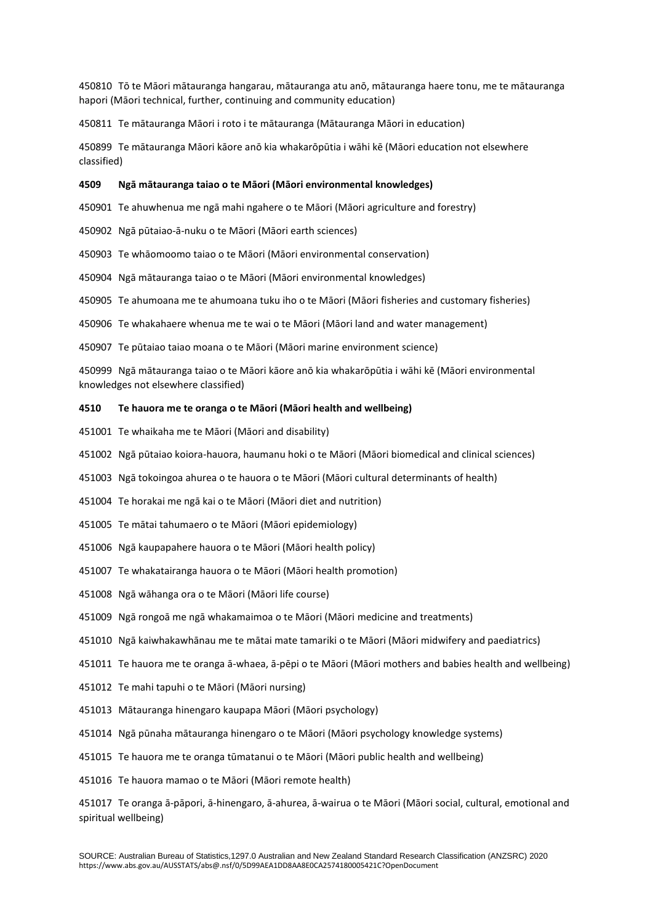Tō te Māori mātauranga hangarau, mātauranga atu anō, mātauranga haere tonu, me te mātauranga hapori (Māori technical, further, continuing and community education)

Te mātauranga Māori i roto i te mātauranga (Mātauranga Māori in education)

 Te mātauranga Māori kāore anō kia whakarōpūtia i wāhi kē (Māori education not elsewhere classified)

## **Ngā mātauranga taiao o te Māori (Māori environmental knowledges)**

Te ahuwhenua me ngā mahi ngahere o te Māori (Māori agriculture and forestry)

Ngā pūtaiao-ā-nuku o te Māori (Māori earth sciences)

Te whāomoomo taiao o te Māori (Māori environmental conservation)

Ngā mātauranga taiao o te Māori (Māori environmental knowledges)

Te ahumoana me te ahumoana tuku iho o te Māori (Māori fisheries and customary fisheries)

Te whakahaere whenua me te wai o te Māori (Māori land and water management)

Te pūtaiao taiao moana o te Māori (Māori marine environment science)

 Ngā mātauranga taiao o te Māori kāore anō kia whakarōpūtia i wāhi kē (Māori environmental knowledges not elsewhere classified)

#### **Te hauora me te oranga o te Māori (Māori health and wellbeing)**

Te whaikaha me te Māori (Māori and disability)

Ngā pūtaiao koiora-hauora, haumanu hoki o te Māori (Māori biomedical and clinical sciences)

Ngā tokoingoa ahurea o te hauora o te Māori (Māori cultural determinants of health)

Te horakai me ngā kai o te Māori (Māori diet and nutrition)

Te mātai tahumaero o te Māori (Māori epidemiology)

Ngā kaupapahere hauora o te Māori (Māori health policy)

Te whakatairanga hauora o te Māori (Māori health promotion)

Ngā wāhanga ora o te Māori (Māori life course)

Ngā rongoā me ngā whakamaimoa o te Māori (Māori medicine and treatments)

Ngā kaiwhakawhānau me te mātai mate tamariki o te Māori (Māori midwifery and paediatrics)

Te hauora me te oranga ā-whaea, ā-pēpi o te Māori (Māori mothers and babies health and wellbeing)

- Te mahi tapuhi o te Māori (Māori nursing)
- Mātauranga hinengaro kaupapa Māori (Māori psychology)
- Ngā pūnaha mātauranga hinengaro o te Māori (Māori psychology knowledge systems)

Te hauora me te oranga tūmatanui o te Māori (Māori public health and wellbeing)

Te hauora mamao o te Māori (Māori remote health)

 Te oranga ā-pāpori, ā-hinengaro, ā-ahurea, ā-wairua o te Māori (Māori social, cultural, emotional and spiritual wellbeing)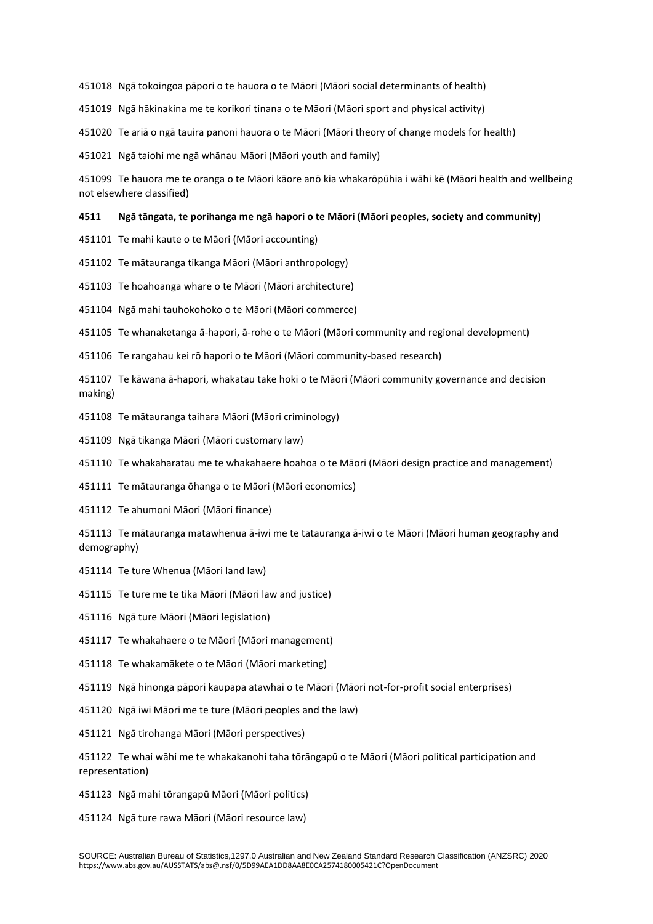Ngā tokoingoa pāpori o te hauora o te Māori (Māori social determinants of health)

Ngā hākinakina me te korikori tinana o te Māori (Māori sport and physical activity)

Te ariā o ngā tauira panoni hauora o te Māori (Māori theory of change models for health)

Ngā taiohi me ngā whānau Māori (Māori youth and family)

 Te hauora me te oranga o te Māori kāore anō kia whakarōpūhia i wāhi kē (Māori health and wellbeing not elsewhere classified)

#### **Ngā tāngata, te porihanga me ngā hapori o te Māori (Māori peoples, society and community)**

Te mahi kaute o te Māori (Māori accounting)

Te mātauranga tikanga Māori (Māori anthropology)

Te hoahoanga whare o te Māori (Māori architecture)

Ngā mahi tauhokohoko o te Māori (Māori commerce)

Te whanaketanga ā-hapori, ā-rohe o te Māori (Māori community and regional development)

Te rangahau kei rō hapori o te Māori (Māori community-based research)

 Te kāwana ā-hapori, whakatau take hoki o te Māori (Māori community governance and decision making)

Te mātauranga taihara Māori (Māori criminology)

Ngā tikanga Māori (Māori customary law)

Te whakaharatau me te whakahaere hoahoa o te Māori (Māori design practice and management)

Te mātauranga ōhanga o te Māori (Māori economics)

Te ahumoni Māori (Māori finance)

 Te mātauranga matawhenua ā-iwi me te tatauranga ā-iwi o te Māori (Māori human geography and demography)

Te ture Whenua (Māori land law)

Te ture me te tika Māori (Māori law and justice)

Ngā ture Māori (Māori legislation)

Te whakahaere o te Māori (Māori management)

Te whakamākete o te Māori (Māori marketing)

Ngā hinonga pāpori kaupapa atawhai o te Māori (Māori not-for-profit social enterprises)

Ngā iwi Māori me te ture (Māori peoples and the law)

Ngā tirohanga Māori (Māori perspectives)

 Te whai wāhi me te whakakanohi taha tōrāngapū o te Māori (Māori political participation and representation)

Ngā mahi tōrangapū Māori (Māori politics)

Ngā ture rawa Māori (Māori resource law)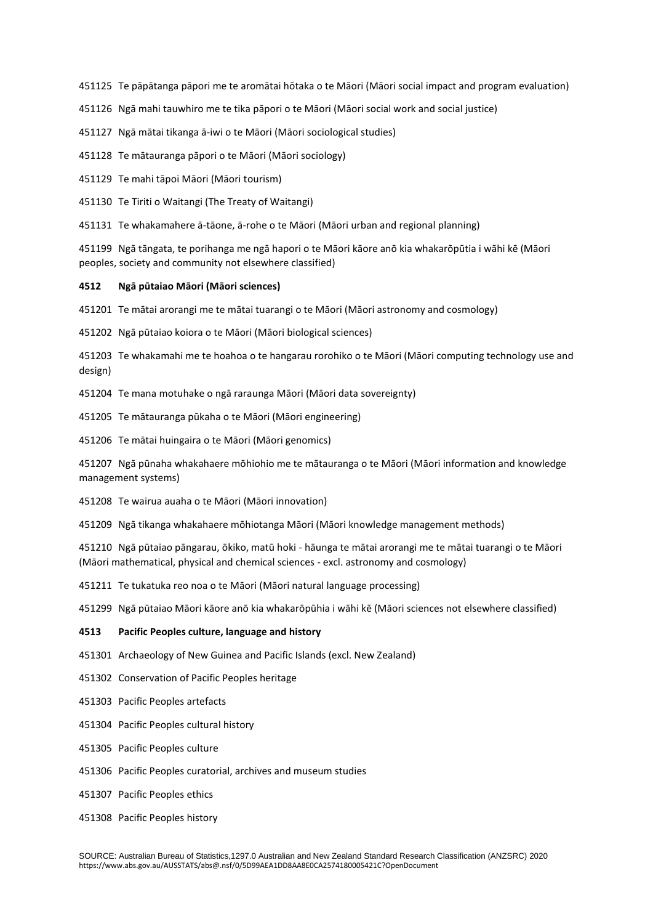Te pāpātanga pāpori me te aromātai hōtaka o te Māori (Māori social impact and program evaluation)

Ngā mahi tauwhiro me te tika pāpori o te Māori (Māori social work and social justice)

Ngā mātai tikanga ā-iwi o te Māori (Māori sociological studies)

Te mātauranga pāpori o te Māori (Māori sociology)

Te mahi tāpoi Māori (Māori tourism)

Te Tiriti o Waitangi (The Treaty of Waitangi)

Te whakamahere ā-tāone, ā-rohe o te Māori (Māori urban and regional planning)

 Ngā tāngata, te porihanga me ngā hapori o te Māori kāore anō kia whakarōpūtia i wāhi kē (Māori peoples, society and community not elsewhere classified)

#### **Ngā pūtaiao Māori (Māori sciences)**

Te mātai arorangi me te mātai tuarangi o te Māori (Māori astronomy and cosmology)

Ngā pūtaiao koiora o te Māori (Māori biological sciences)

 Te whakamahi me te hoahoa o te hangarau rorohiko o te Māori (Māori computing technology use and design)

Te mana motuhake o ngā raraunga Māori (Māori data sovereignty)

Te mātauranga pūkaha o te Māori (Māori engineering)

Te mātai huingaira o te Māori (Māori genomics)

 Ngā pūnaha whakahaere mōhiohio me te mātauranga o te Māori (Māori information and knowledge management systems)

Te wairua auaha o te Māori (Māori innovation)

Ngā tikanga whakahaere mōhiotanga Māori (Māori knowledge management methods)

 Ngā pūtaiao pāngarau, ōkiko, matū hoki - hāunga te mātai arorangi me te mātai tuarangi o te Māori (Māori mathematical, physical and chemical sciences - excl. astronomy and cosmology)

Te tukatuka reo noa o te Māori (Māori natural language processing)

Ngā pūtaiao Māori kāore anō kia whakarōpūhia i wāhi kē (Māori sciences not elsewhere classified)

## **Pacific Peoples culture, language and history**

Archaeology of New Guinea and Pacific Islands (excl. New Zealand)

Conservation of Pacific Peoples heritage

Pacific Peoples artefacts

Pacific Peoples cultural history

Pacific Peoples culture

Pacific Peoples curatorial, archives and museum studies

Pacific Peoples ethics

Pacific Peoples history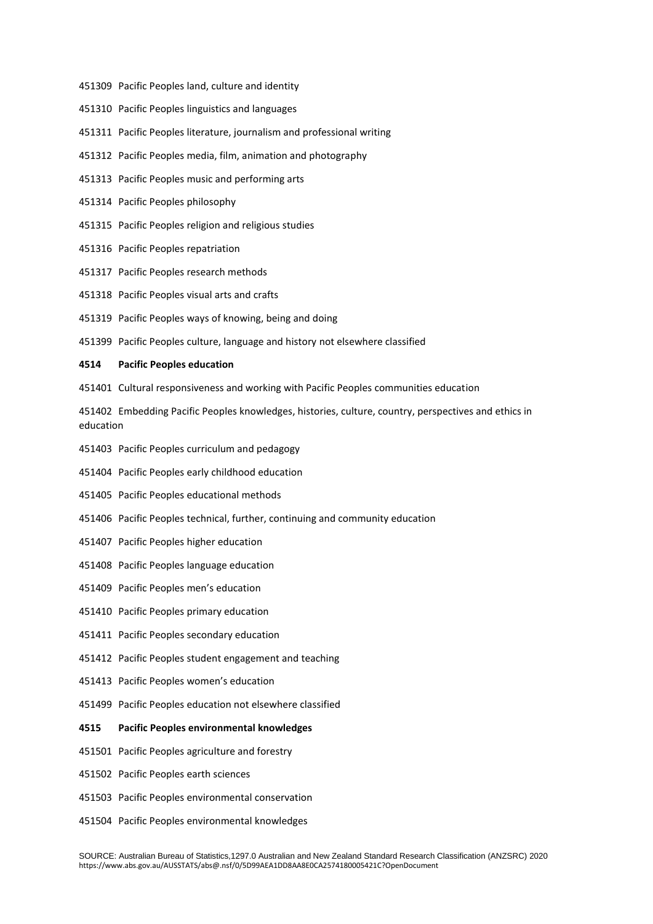- Pacific Peoples land, culture and identity
- Pacific Peoples linguistics and languages
- Pacific Peoples literature, journalism and professional writing
- Pacific Peoples media, film, animation and photography
- Pacific Peoples music and performing arts
- Pacific Peoples philosophy
- Pacific Peoples religion and religious studies
- Pacific Peoples repatriation
- Pacific Peoples research methods
- Pacific Peoples visual arts and crafts
- Pacific Peoples ways of knowing, being and doing
- Pacific Peoples culture, language and history not elsewhere classified

#### **Pacific Peoples education**

- Cultural responsiveness and working with Pacific Peoples communities education
- Embedding Pacific Peoples knowledges, histories, culture, country, perspectives and ethics in education
- Pacific Peoples curriculum and pedagogy
- Pacific Peoples early childhood education
- Pacific Peoples educational methods
- Pacific Peoples technical, further, continuing and community education
- Pacific Peoples higher education
- Pacific Peoples language education
- Pacific Peoples men's education
- Pacific Peoples primary education
- Pacific Peoples secondary education
- Pacific Peoples student engagement and teaching
- Pacific Peoples women's education
- Pacific Peoples education not elsewhere classified

#### **Pacific Peoples environmental knowledges**

- Pacific Peoples agriculture and forestry
- Pacific Peoples earth sciences
- Pacific Peoples environmental conservation
- Pacific Peoples environmental knowledges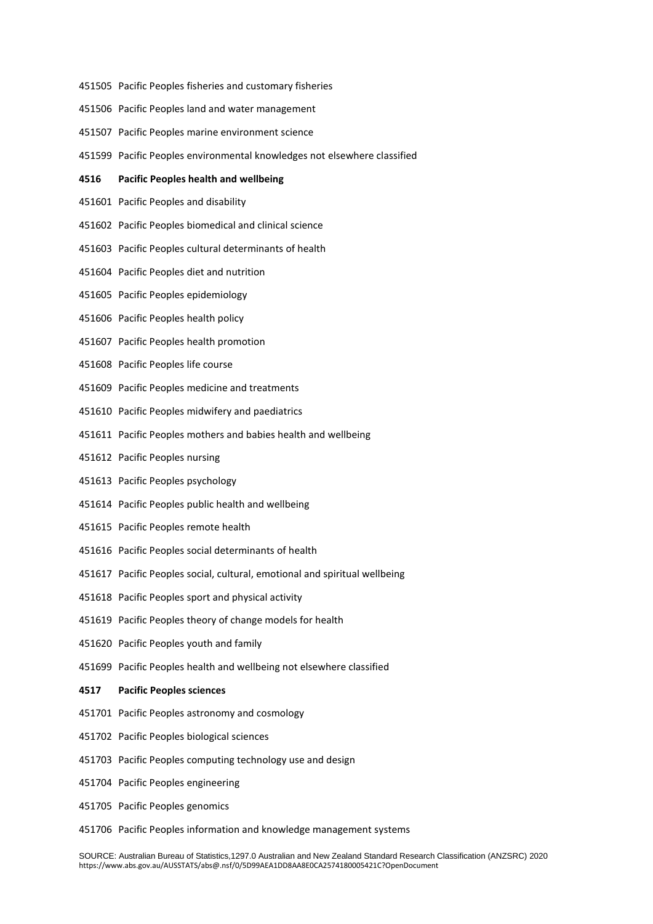- Pacific Peoples fisheries and customary fisheries
- Pacific Peoples land and water management
- Pacific Peoples marine environment science
- Pacific Peoples environmental knowledges not elsewhere classified

#### **Pacific Peoples health and wellbeing**

- Pacific Peoples and disability
- Pacific Peoples biomedical and clinical science
- Pacific Peoples cultural determinants of health
- Pacific Peoples diet and nutrition
- Pacific Peoples epidemiology
- Pacific Peoples health policy
- Pacific Peoples health promotion
- Pacific Peoples life course
- Pacific Peoples medicine and treatments
- Pacific Peoples midwifery and paediatrics
- Pacific Peoples mothers and babies health and wellbeing
- Pacific Peoples nursing
- Pacific Peoples psychology
- Pacific Peoples public health and wellbeing
- Pacific Peoples remote health
- Pacific Peoples social determinants of health
- Pacific Peoples social, cultural, emotional and spiritual wellbeing
- Pacific Peoples sport and physical activity
- Pacific Peoples theory of change models for health
- Pacific Peoples youth and family
- Pacific Peoples health and wellbeing not elsewhere classified
- **Pacific Peoples sciences**
- Pacific Peoples astronomy and cosmology
- Pacific Peoples biological sciences
- Pacific Peoples computing technology use and design
- Pacific Peoples engineering
- Pacific Peoples genomics
- Pacific Peoples information and knowledge management systems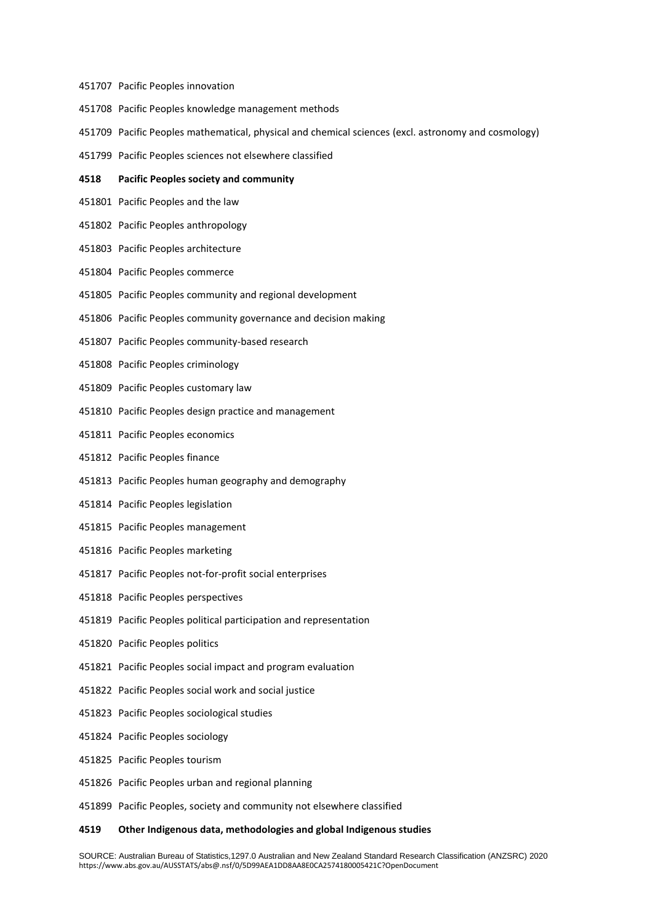#### Pacific Peoples innovation

- Pacific Peoples knowledge management methods
- Pacific Peoples mathematical, physical and chemical sciences (excl. astronomy and cosmology)
- Pacific Peoples sciences not elsewhere classified

#### **Pacific Peoples society and community**

- Pacific Peoples and the law
- Pacific Peoples anthropology
- Pacific Peoples architecture
- Pacific Peoples commerce
- Pacific Peoples community and regional development
- Pacific Peoples community governance and decision making
- Pacific Peoples community-based research
- Pacific Peoples criminology
- Pacific Peoples customary law
- Pacific Peoples design practice and management
- Pacific Peoples economics
- Pacific Peoples finance
- Pacific Peoples human geography and demography
- Pacific Peoples legislation
- Pacific Peoples management
- Pacific Peoples marketing
- Pacific Peoples not-for-profit social enterprises
- Pacific Peoples perspectives
- Pacific Peoples political participation and representation
- Pacific Peoples politics
- Pacific Peoples social impact and program evaluation
- Pacific Peoples social work and social justice
- Pacific Peoples sociological studies
- Pacific Peoples sociology
- Pacific Peoples tourism
- Pacific Peoples urban and regional planning
- Pacific Peoples, society and community not elsewhere classified

#### **Other Indigenous data, methodologies and global Indigenous studies**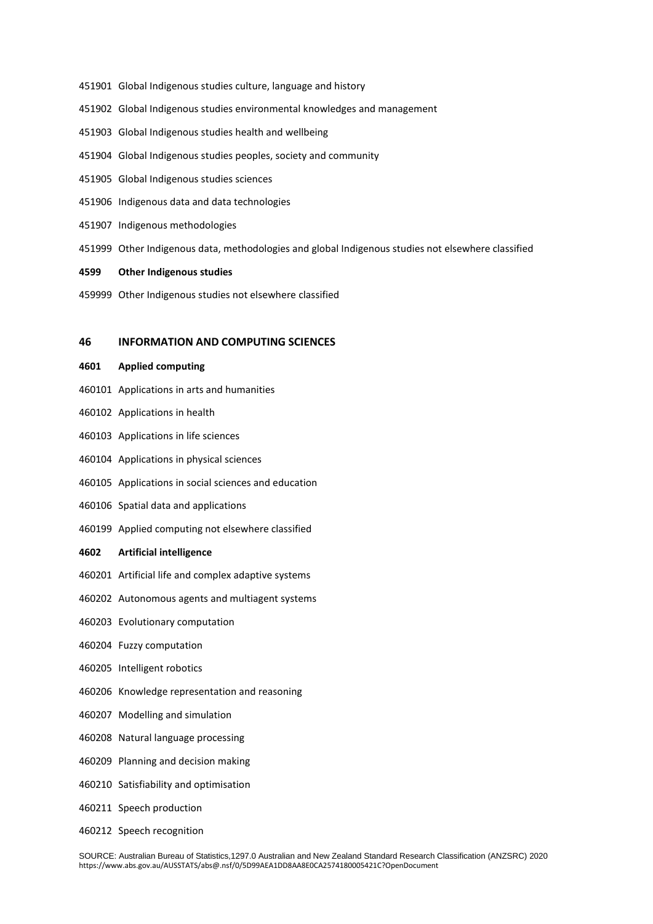- Global Indigenous studies culture, language and history
- Global Indigenous studies environmental knowledges and management
- Global Indigenous studies health and wellbeing
- Global Indigenous studies peoples, society and community
- Global Indigenous studies sciences
- Indigenous data and data technologies
- Indigenous methodologies
- Other Indigenous data, methodologies and global Indigenous studies not elsewhere classified
- **Other Indigenous studies**
- Other Indigenous studies not elsewhere classified

## **INFORMATION AND COMPUTING SCIENCES**

## **Applied computing**

- Applications in arts and humanities
- Applications in health
- Applications in life sciences
- Applications in physical sciences
- Applications in social sciences and education
- Spatial data and applications
- Applied computing not elsewhere classified

## **Artificial intelligence**

- Artificial life and complex adaptive systems
- Autonomous agents and multiagent systems
- Evolutionary computation
- Fuzzy computation
- Intelligent robotics
- Knowledge representation and reasoning
- Modelling and simulation
- Natural language processing
- Planning and decision making
- Satisfiability and optimisation
- Speech production
- Speech recognition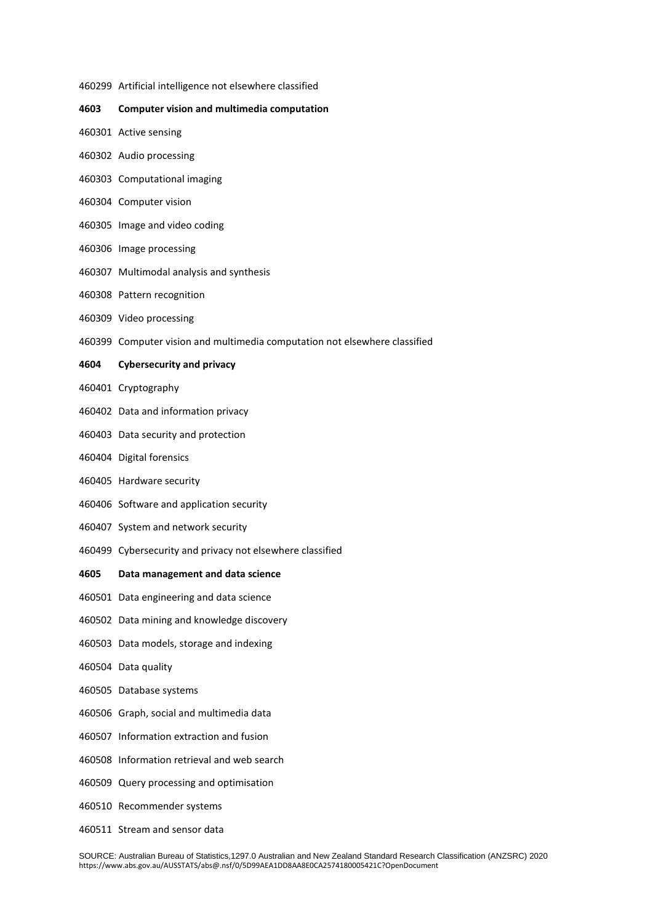Artificial intelligence not elsewhere classified

## **Computer vision and multimedia computation**

- Active sensing
- Audio processing
- Computational imaging
- Computer vision
- Image and video coding
- Image processing
- Multimodal analysis and synthesis
- Pattern recognition
- Video processing
- Computer vision and multimedia computation not elsewhere classified

## **Cybersecurity and privacy**

- Cryptography
- Data and information privacy
- Data security and protection
- Digital forensics
- Hardware security
- Software and application security
- System and network security
- Cybersecurity and privacy not elsewhere classified

## **Data management and data science**

- Data engineering and data science
- Data mining and knowledge discovery
- Data models, storage and indexing
- Data quality
- Database systems
- Graph, social and multimedia data
- Information extraction and fusion
- Information retrieval and web search
- Query processing and optimisation
- Recommender systems
- Stream and sensor data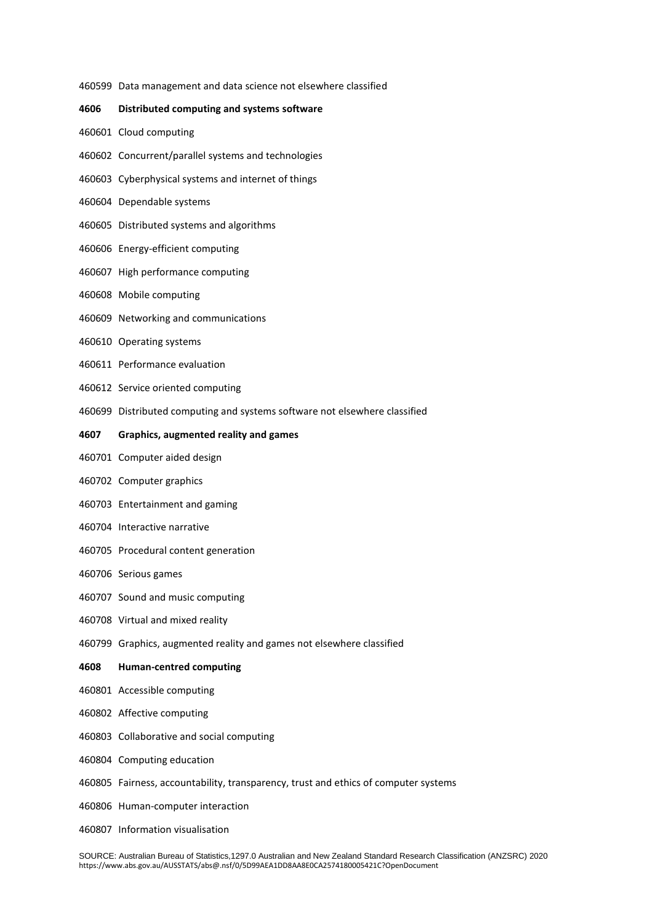Data management and data science not elsewhere classified

## **Distributed computing and systems software**

- Cloud computing
- Concurrent/parallel systems and technologies
- Cyberphysical systems and internet of things
- Dependable systems
- Distributed systems and algorithms
- Energy-efficient computing
- High performance computing
- Mobile computing
- Networking and communications
- Operating systems
- Performance evaluation
- Service oriented computing
- Distributed computing and systems software not elsewhere classified

#### **Graphics, augmented reality and games**

- Computer aided design
- Computer graphics
- Entertainment and gaming
- Interactive narrative
- Procedural content generation
- Serious games
- Sound and music computing
- Virtual and mixed reality
- Graphics, augmented reality and games not elsewhere classified

## **Human-centred computing**

- Accessible computing
- Affective computing
- Collaborative and social computing
- Computing education
- Fairness, accountability, transparency, trust and ethics of computer systems
- Human-computer interaction
- Information visualisation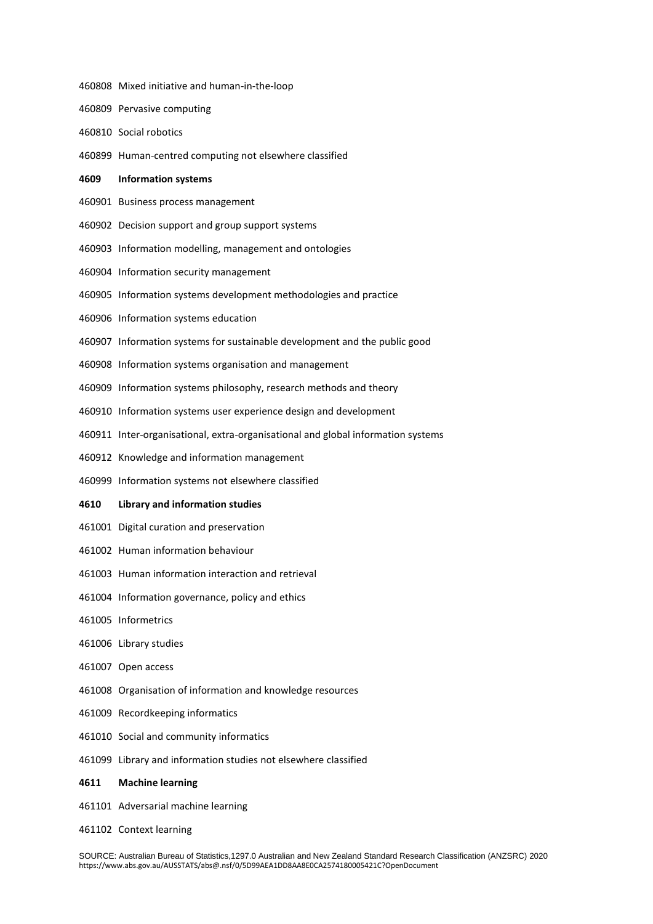Pervasive computing Social robotics Human-centred computing not elsewhere classified **Information systems** Business process management Decision support and group support systems Information modelling, management and ontologies Information security management Information systems development methodologies and practice Information systems education Information systems for sustainable development and the public good Information systems organisation and management Information systems philosophy, research methods and theory Information systems user experience design and development Inter-organisational, extra-organisational and global information systems Knowledge and information management Information systems not elsewhere classified **Library and information studies**  Digital curation and preservation Human information behaviour Human information interaction and retrieval Information governance, policy and ethics Informetrics Library studies Open access Organisation of information and knowledge resources Recordkeeping informatics Social and community informatics Library and information studies not elsewhere classified **Machine learning** Adversarial machine learning

Mixed initiative and human-in-the-loop

Context learning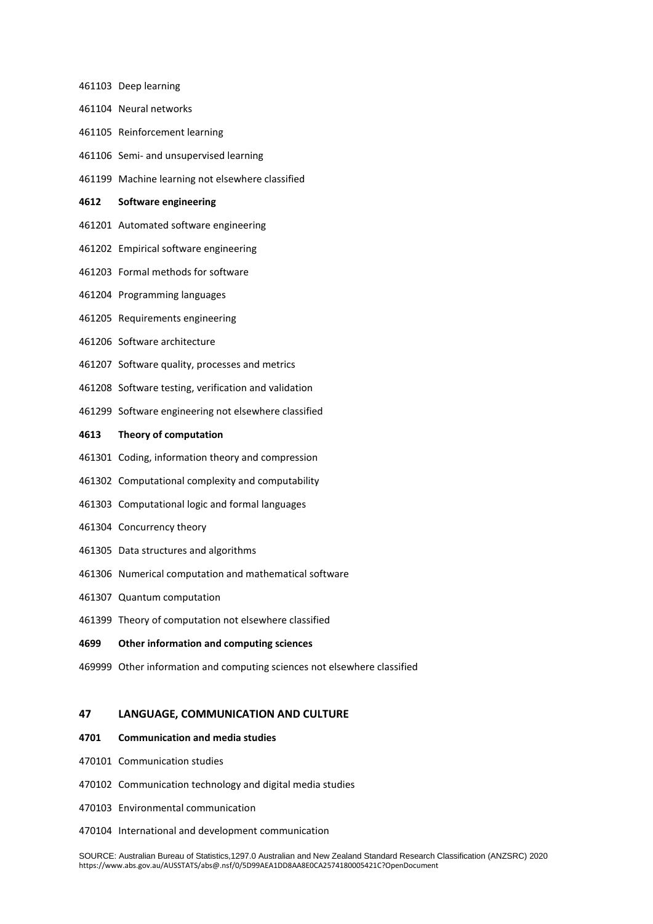- Deep learning Neural networks Reinforcement learning Semi- and unsupervised learning Machine learning not elsewhere classified **Software engineering** Automated software engineering Empirical software engineering Formal methods for software
- Programming languages
- Requirements engineering
- Software architecture
- Software quality, processes and metrics
- Software testing, verification and validation
- Software engineering not elsewhere classified

#### **Theory of computation**

- Coding, information theory and compression
- Computational complexity and computability
- Computational logic and formal languages
- Concurrency theory
- Data structures and algorithms
- Numerical computation and mathematical software
- Quantum computation
- Theory of computation not elsewhere classified

## **Other information and computing sciences**

Other information and computing sciences not elsewhere classified

## **LANGUAGE, COMMUNICATION AND CULTURE**

## **Communication and media studies**

- Communication studies
- Communication technology and digital media studies
- Environmental communication
- International and development communication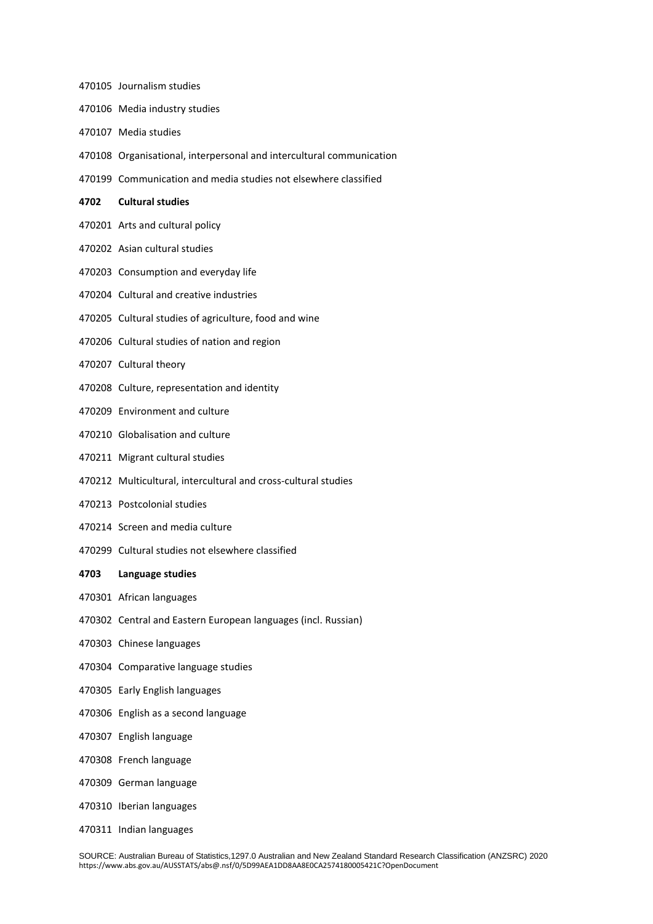- Journalism studies
- Media industry studies
- Media studies
- Organisational, interpersonal and intercultural communication
- Communication and media studies not elsewhere classified
- **Cultural studies**
- Arts and cultural policy
- Asian cultural studies
- Consumption and everyday life
- Cultural and creative industries
- Cultural studies of agriculture, food and wine
- Cultural studies of nation and region
- Cultural theory
- Culture, representation and identity
- Environment and culture
- Globalisation and culture
- Migrant cultural studies
- Multicultural, intercultural and cross-cultural studies
- Postcolonial studies
- Screen and media culture
- Cultural studies not elsewhere classified

#### **Language studies**

- African languages
- Central and Eastern European languages (incl. Russian)
- Chinese languages
- Comparative language studies
- Early English languages
- English as a second language
- English language
- French language
- German language
- Iberian languages
- Indian languages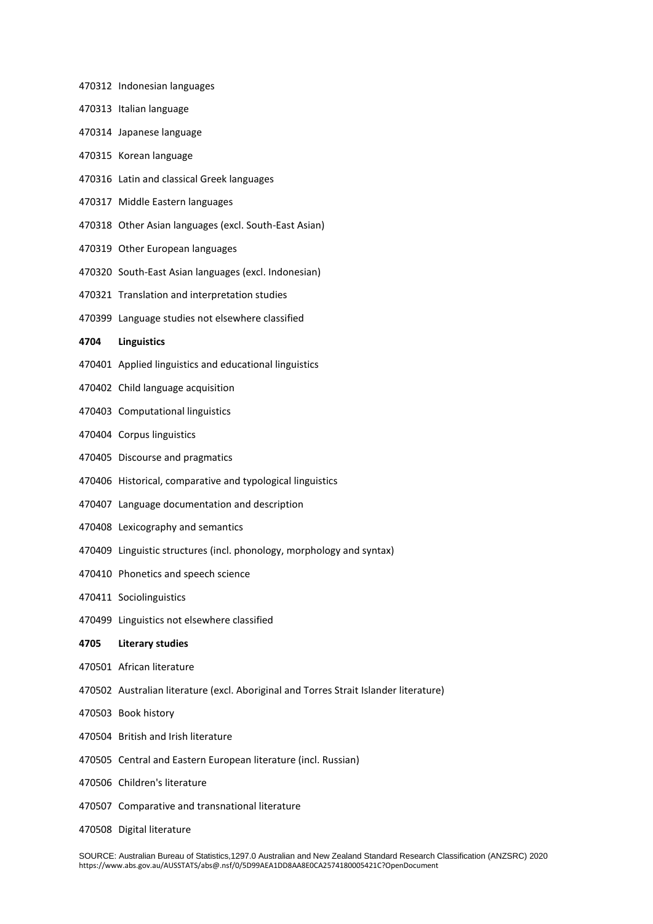Indonesian languages Italian language Japanese language Korean language Latin and classical Greek languages Middle Eastern languages Other Asian languages (excl. South-East Asian) Other European languages South-East Asian languages (excl. Indonesian) Translation and interpretation studies Language studies not elsewhere classified **Linguistics** Applied linguistics and educational linguistics Child language acquisition Computational linguistics Corpus linguistics Discourse and pragmatics Historical, comparative and typological linguistics Language documentation and description Lexicography and semantics Linguistic structures (incl. phonology, morphology and syntax) Phonetics and speech science Sociolinguistics Linguistics not elsewhere classified **Literary studies** African literature Australian literature (excl. Aboriginal and Torres Strait Islander literature) Book history British and Irish literature Central and Eastern European literature (incl. Russian) Children's literature Comparative and transnational literature Digital literature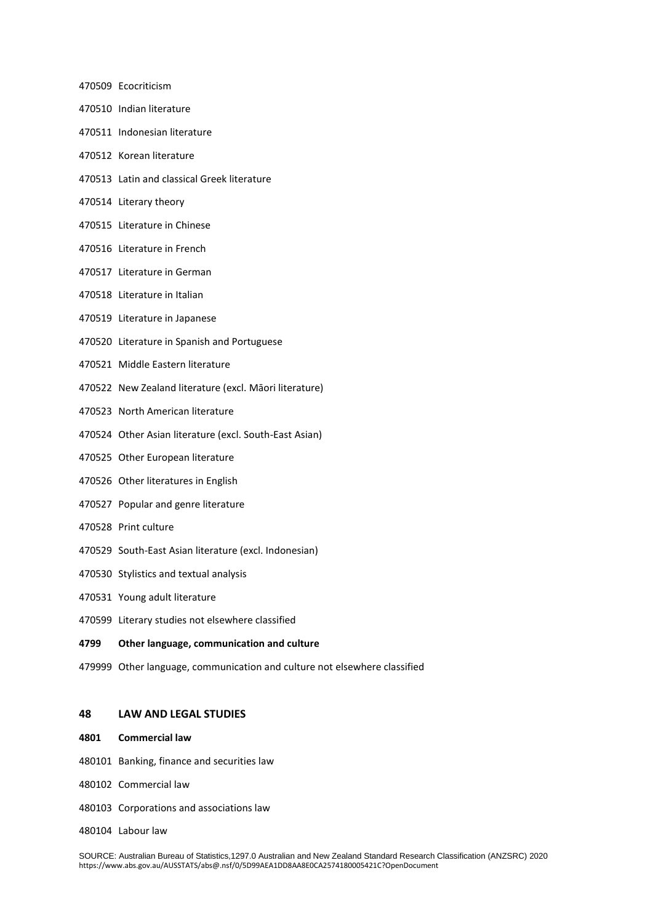- Ecocriticism Indian literature Indonesian literature Korean literature Latin and classical Greek literature Literary theory Literature in Chinese Literature in French Literature in German Literature in Italian
- Literature in Japanese
- Literature in Spanish and Portuguese
- Middle Eastern literature
- New Zealand literature (excl. Māori literature)
- North American literature
- Other Asian literature (excl. South-East Asian)
- Other European literature
- Other literatures in English
- Popular and genre literature
- Print culture
- South-East Asian literature (excl. Indonesian)
- Stylistics and textual analysis
- Young adult literature
- Literary studies not elsewhere classified

## **Other language, communication and culture**

Other language, communication and culture not elsewhere classified

## **LAW AND LEGAL STUDIES**

- **Commercial law**
- Banking, finance and securities law
- Commercial law
- Corporations and associations law
- Labour law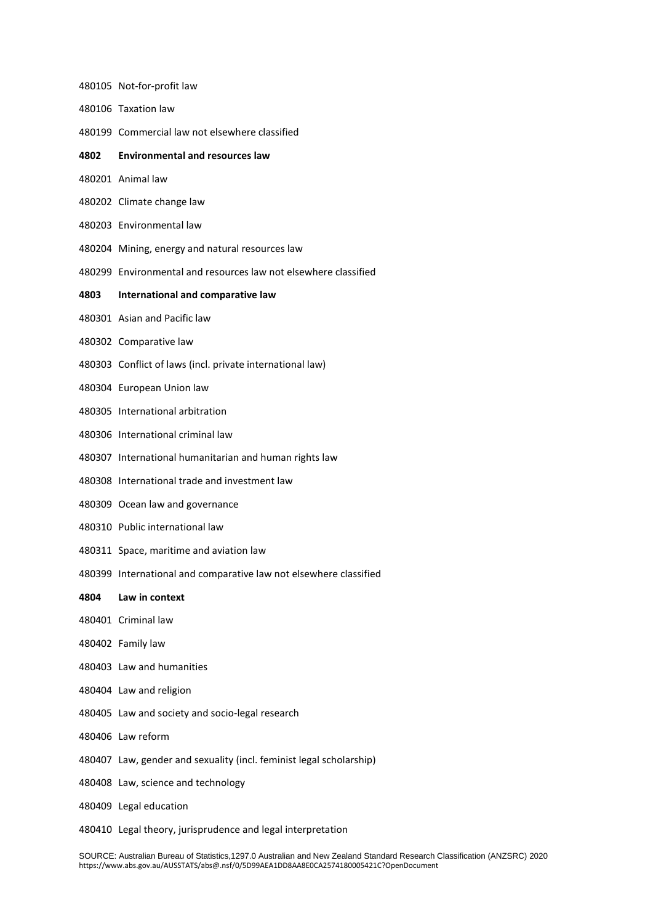- Not-for-profit law Taxation law
- Commercial law not elsewhere classified
- **Environmental and resources law**
- Animal law
- Climate change law
- Environmental law
- Mining, energy and natural resources law
- Environmental and resources law not elsewhere classified

## **International and comparative law**

- Asian and Pacific law
- Comparative law
- Conflict of laws (incl. private international law)
- European Union law
- International arbitration
- International criminal law
- International humanitarian and human rights law
- International trade and investment law
- Ocean law and governance
- Public international law
- Space, maritime and aviation law
- International and comparative law not elsewhere classified
- **Law in context**
- Criminal law
- Family law
- Law and humanities
- Law and religion
- Law and society and socio-legal research
- Law reform
- Law, gender and sexuality (incl. feminist legal scholarship)
- Law, science and technology
- Legal education
- Legal theory, jurisprudence and legal interpretation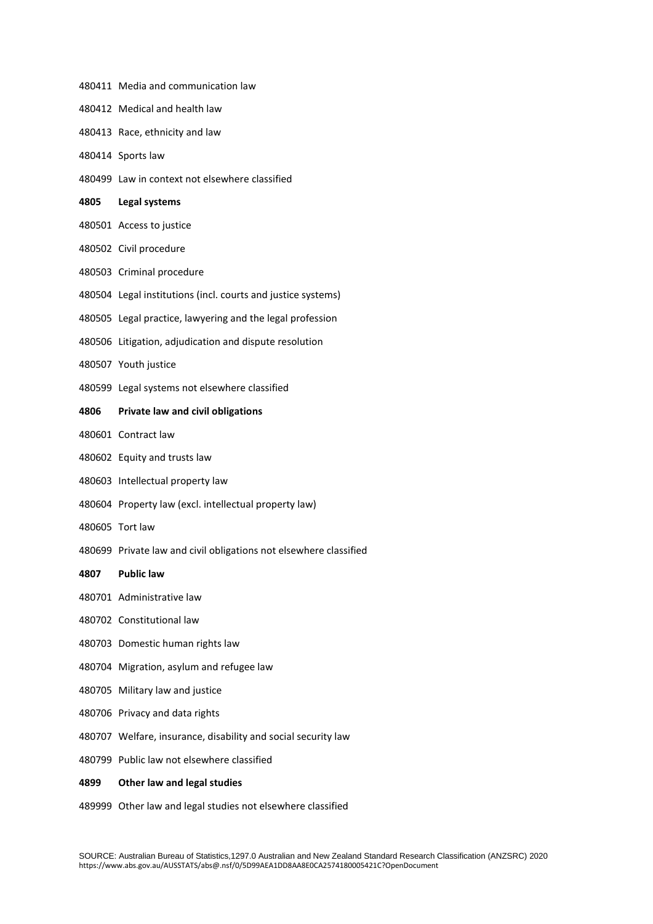|      | 480411 Media and communication law                                |
|------|-------------------------------------------------------------------|
|      | 480412 Medical and health law                                     |
|      | 480413 Race, ethnicity and law                                    |
|      | 480414 Sports law                                                 |
|      | 480499 Law in context not elsewhere classified                    |
| 4805 | Legal systems                                                     |
|      | 480501 Access to justice                                          |
|      | 480502 Civil procedure                                            |
|      | 480503 Criminal procedure                                         |
|      | 480504 Legal institutions (incl. courts and justice systems)      |
|      | 480505 Legal practice, lawyering and the legal profession         |
|      | 480506 Litigation, adjudication and dispute resolution            |
|      | 480507 Youth justice                                              |
|      | 480599 Legal systems not elsewhere classified                     |
| 4806 | Private law and civil obligations                                 |
|      | 480601 Contract law                                               |
|      | 480602 Equity and trusts law                                      |
|      | 480603 Intellectual property law                                  |
|      | 480604 Property law (excl. intellectual property law)             |
|      | 480605 Tort law                                                   |
|      | 480699 Private law and civil obligations not elsewhere classified |
| 4807 | <b>Public law</b>                                                 |
|      | 480701 Administrative law                                         |
|      | 480702 Constitutional law                                         |
|      | 480703 Domestic human rights law                                  |
|      | 480704 Migration, asylum and refugee law                          |
|      | 480705 Military law and justice                                   |
|      | 480706 Privacy and data rights                                    |
|      | 480707 Welfare, insurance, disability and social security law     |
|      | 480799 Public law not elsewhere classified                        |
| 4899 | Other law and legal studies                                       |

Other law and legal studies not elsewhere classified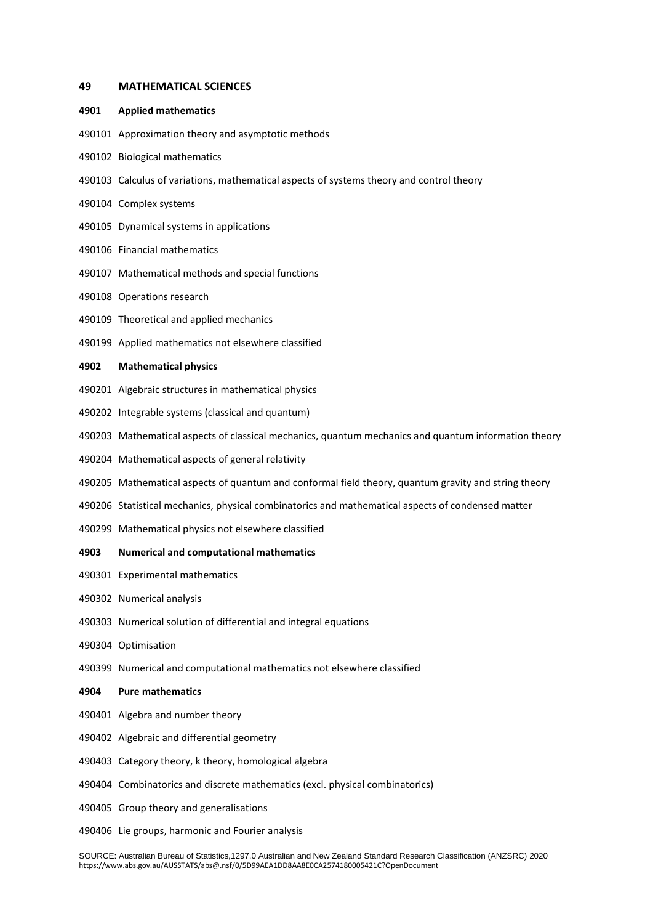#### **MATHEMATICAL SCIENCES**

#### **Applied mathematics**

- Approximation theory and asymptotic methods
- Biological mathematics
- Calculus of variations, mathematical aspects of systems theory and control theory
- Complex systems
- Dynamical systems in applications
- Financial mathematics
- Mathematical methods and special functions
- Operations research
- Theoretical and applied mechanics
- Applied mathematics not elsewhere classified

#### **Mathematical physics**

- Algebraic structures in mathematical physics
- Integrable systems (classical and quantum)
- Mathematical aspects of classical mechanics, quantum mechanics and quantum information theory
- Mathematical aspects of general relativity
- Mathematical aspects of quantum and conformal field theory, quantum gravity and string theory
- Statistical mechanics, physical combinatorics and mathematical aspects of condensed matter
- Mathematical physics not elsewhere classified

#### **Numerical and computational mathematics**

- Experimental mathematics
- Numerical analysis
- Numerical solution of differential and integral equations
- Optimisation
- Numerical and computational mathematics not elsewhere classified

## **Pure mathematics**

- Algebra and number theory
- Algebraic and differential geometry
- Category theory, k theory, homological algebra
- Combinatorics and discrete mathematics (excl. physical combinatorics)
- Group theory and generalisations
- Lie groups, harmonic and Fourier analysis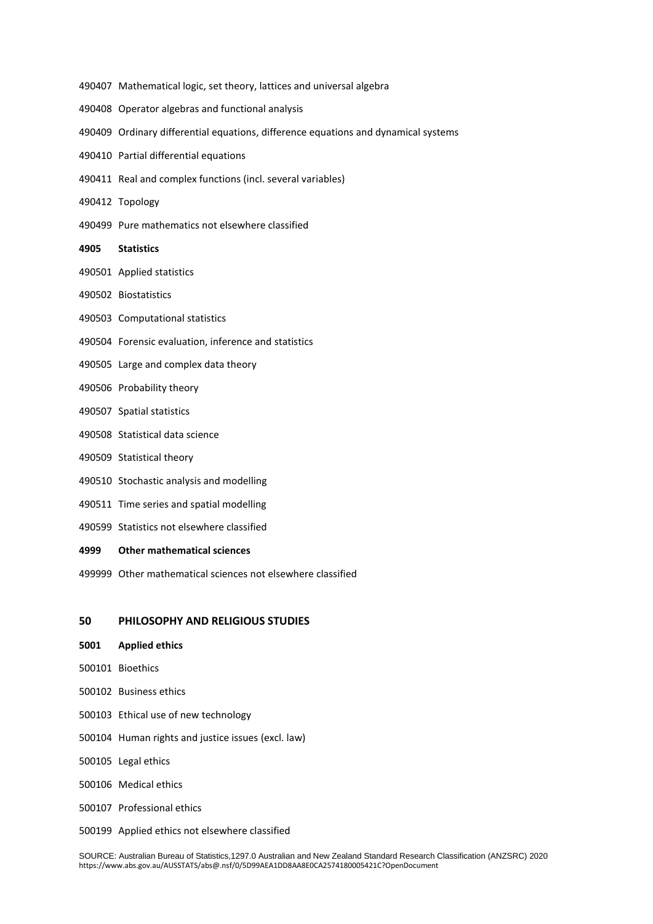- Mathematical logic, set theory, lattices and universal algebra
- Operator algebras and functional analysis
- Ordinary differential equations, difference equations and dynamical systems
- Partial differential equations
- Real and complex functions (incl. several variables)
- Topology
- Pure mathematics not elsewhere classified
- **Statistics**
- Applied statistics
- Biostatistics
- Computational statistics
- Forensic evaluation, inference and statistics
- Large and complex data theory
- Probability theory
- Spatial statistics
- Statistical data science
- Statistical theory
- Stochastic analysis and modelling
- Time series and spatial modelling
- Statistics not elsewhere classified
- **Other mathematical sciences**
- Other mathematical sciences not elsewhere classified

## **PHILOSOPHY AND RELIGIOUS STUDIES**

- **Applied ethics**
- Bioethics
- Business ethics
- Ethical use of new technology
- Human rights and justice issues (excl. law)
- Legal ethics
- Medical ethics
- Professional ethics
- Applied ethics not elsewhere classified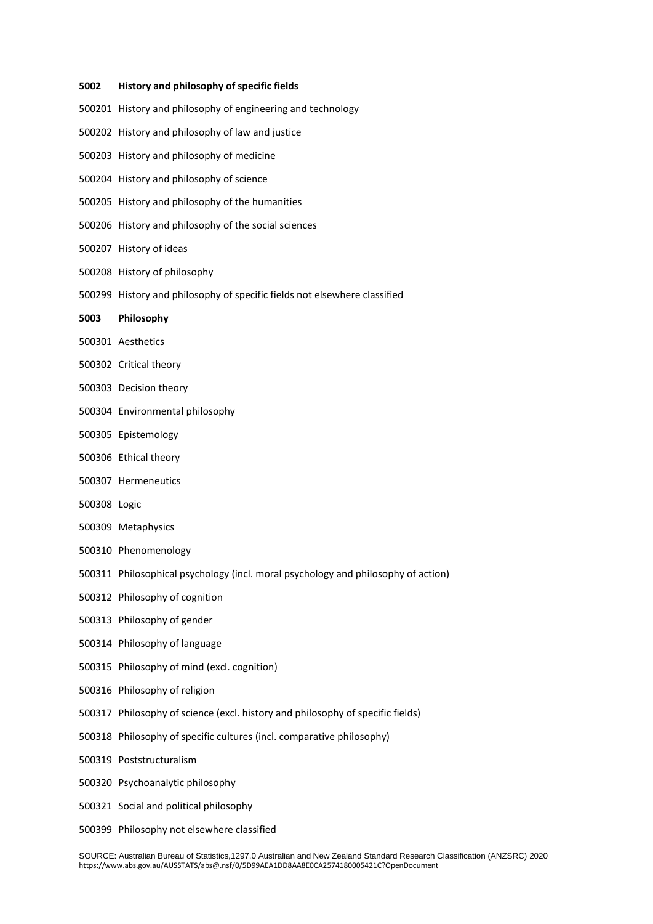#### **History and philosophy of specific fields**

- History and philosophy of engineering and technology History and philosophy of law and justice History and philosophy of medicine History and philosophy of science History and philosophy of the humanities History and philosophy of the social sciences History of ideas History of philosophy History and philosophy of specific fields not elsewhere classified **Philosophy** Aesthetics Critical theory Decision theory Environmental philosophy Epistemology Ethical theory
- Hermeneutics
- Logic
- Metaphysics
- Phenomenology
- Philosophical psychology (incl. moral psychology and philosophy of action)
- Philosophy of cognition
- Philosophy of gender
- Philosophy of language
- Philosophy of mind (excl. cognition)
- Philosophy of religion
- Philosophy of science (excl. history and philosophy of specific fields)
- Philosophy of specific cultures (incl. comparative philosophy)
- Poststructuralism
- Psychoanalytic philosophy
- Social and political philosophy
- Philosophy not elsewhere classified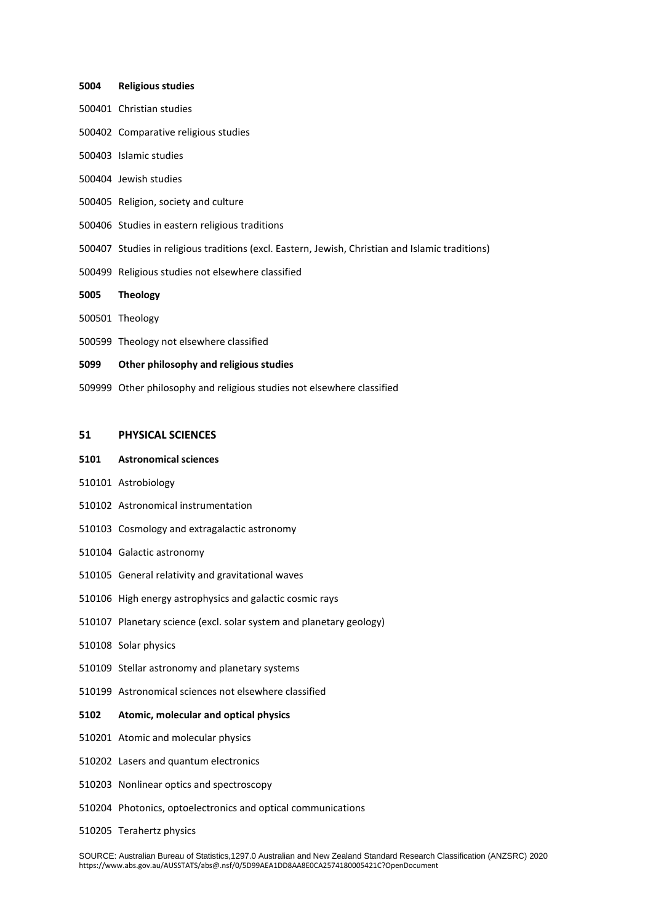#### **Religious studies**

- Christian studies
- Comparative religious studies
- Islamic studies
- Jewish studies
- Religion, society and culture
- Studies in eastern religious traditions
- Studies in religious traditions (excl. Eastern, Jewish, Christian and Islamic traditions)
- Religious studies not elsewhere classified
- **Theology**
- Theology
- Theology not elsewhere classified
- **Other philosophy and religious studies**
- Other philosophy and religious studies not elsewhere classified

## **PHYSICAL SCIENCES**

#### **Astronomical sciences**

- Astrobiology
- Astronomical instrumentation
- Cosmology and extragalactic astronomy
- Galactic astronomy
- General relativity and gravitational waves
- High energy astrophysics and galactic cosmic rays
- Planetary science (excl. solar system and planetary geology)
- Solar physics
- Stellar astronomy and planetary systems
- Astronomical sciences not elsewhere classified

## **Atomic, molecular and optical physics**

- Atomic and molecular physics
- Lasers and quantum electronics
- Nonlinear optics and spectroscopy
- Photonics, optoelectronics and optical communications
- Terahertz physics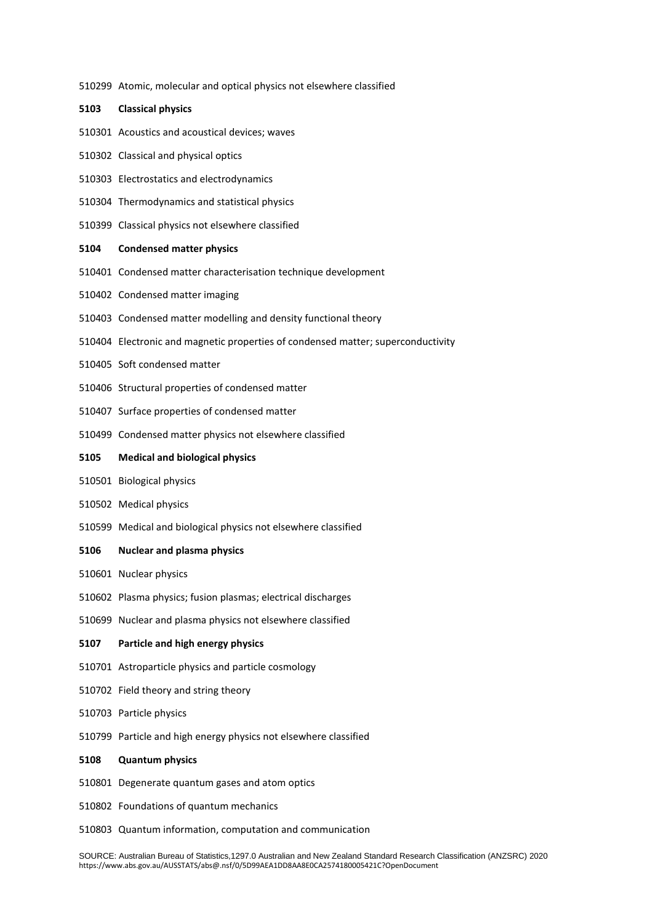Atomic, molecular and optical physics not elsewhere classified

#### **Classical physics**

- Acoustics and acoustical devices; waves
- Classical and physical optics
- Electrostatics and electrodynamics
- Thermodynamics and statistical physics
- Classical physics not elsewhere classified

#### **Condensed matter physics**

- Condensed matter characterisation technique development
- Condensed matter imaging
- Condensed matter modelling and density functional theory
- Electronic and magnetic properties of condensed matter; superconductivity
- Soft condensed matter
- Structural properties of condensed matter
- Surface properties of condensed matter
- Condensed matter physics not elsewhere classified

#### **Medical and biological physics**

- Biological physics
- Medical physics
- Medical and biological physics not elsewhere classified

#### **Nuclear and plasma physics**

- Nuclear physics
- Plasma physics; fusion plasmas; electrical discharges
- Nuclear and plasma physics not elsewhere classified

## **Particle and high energy physics**

- Astroparticle physics and particle cosmology
- Field theory and string theory
- Particle physics
- Particle and high energy physics not elsewhere classified

#### **Quantum physics**

- Degenerate quantum gases and atom optics
- Foundations of quantum mechanics
- Quantum information, computation and communication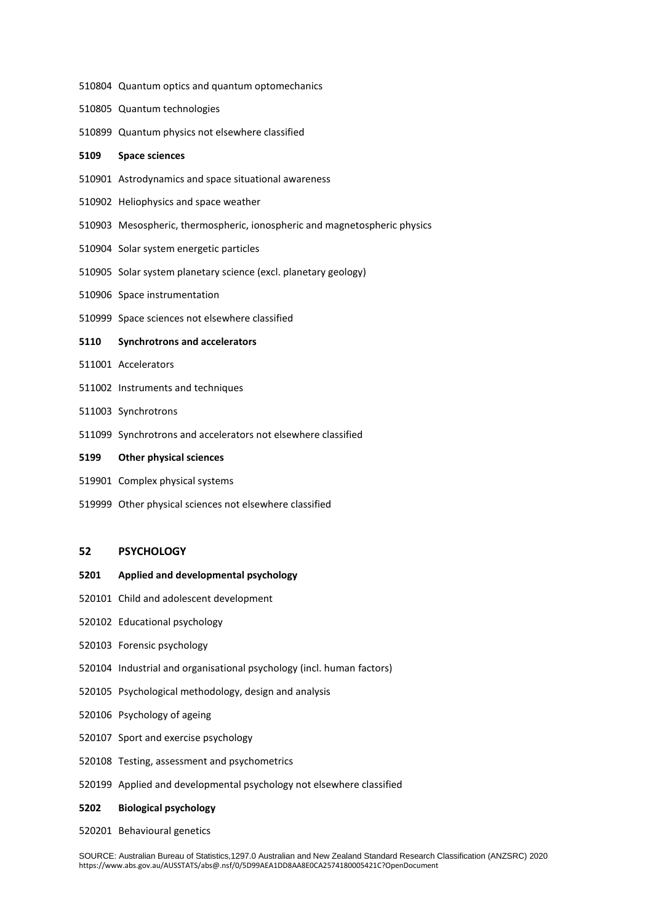- Quantum optics and quantum optomechanics
- Quantum technologies
- Quantum physics not elsewhere classified

## **Space sciences**

- Astrodynamics and space situational awareness
- Heliophysics and space weather
- Mesospheric, thermospheric, ionospheric and magnetospheric physics
- Solar system energetic particles
- Solar system planetary science (excl. planetary geology)
- Space instrumentation
- Space sciences not elsewhere classified

## **Synchrotrons and accelerators**

- Accelerators
- Instruments and techniques
- Synchrotrons
- Synchrotrons and accelerators not elsewhere classified

#### **Other physical sciences**

- Complex physical systems
- Other physical sciences not elsewhere classified

## **PSYCHOLOGY**

#### **Applied and developmental psychology**

- Child and adolescent development
- Educational psychology
- Forensic psychology
- Industrial and organisational psychology (incl. human factors)
- Psychological methodology, design and analysis
- Psychology of ageing
- Sport and exercise psychology
- Testing, assessment and psychometrics
- Applied and developmental psychology not elsewhere classified

## **Biological psychology**

Behavioural genetics